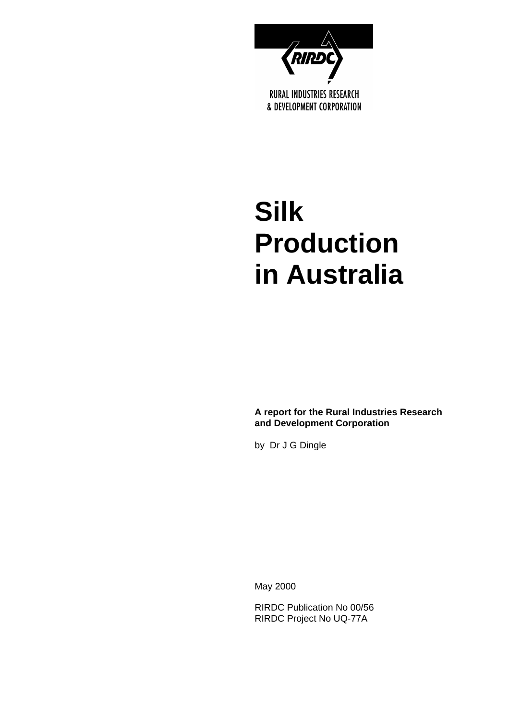

# **Silk Production in Australia**

**A report for the Rural Industries Research and Development Corporation** 

by Dr J G Dingle

May 2000

RIRDC Publication No 00/56 RIRDC Project No UQ-77A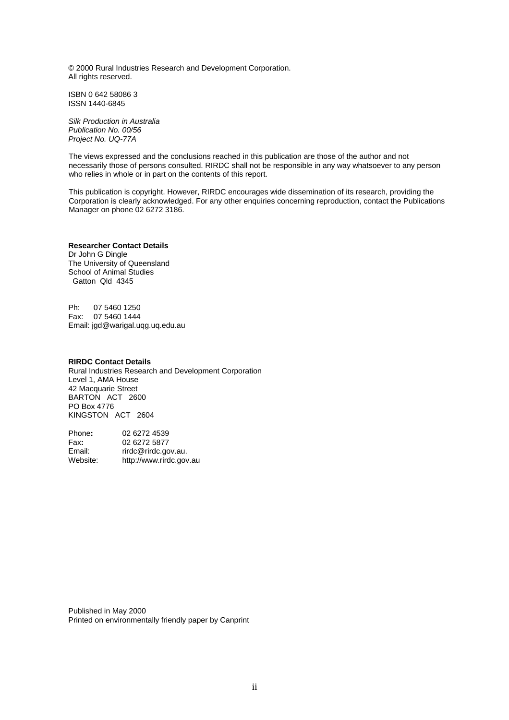© 2000 Rural Industries Research and Development Corporation. All rights reserved.

ISBN 0 642 58086 3 ISSN 1440-6845

*Silk Production in Australia Publication No. 00/56 Project No. UQ-77A* 

The views expressed and the conclusions reached in this publication are those of the author and not necessarily those of persons consulted. RIRDC shall not be responsible in any way whatsoever to any person who relies in whole or in part on the contents of this report.

This publication is copyright. However, RIRDC encourages wide dissemination of its research, providing the Corporation is clearly acknowledged. For any other enquiries concerning reproduction, contact the Publications Manager on phone 02 6272 3186.

#### **Researcher Contact Details**

Dr John G Dingle The University of Queensland School of Animal Studies Gatton Qld 4345

Ph: 07 5460 1250 Fax: 07 5460 1444 Email: jgd@warigal.uqg.uq.edu.au

#### **RIRDC Contact Details**

Rural Industries Research and Development Corporation Level 1, AMA House 42 Macquarie Street BARTON ACT 2600 PO Box 4776 KINGSTON ACT 2604

| Phone:   | 02 6272 4539            |
|----------|-------------------------|
| Fax:     | 02 6272 5877            |
| Email:   | rirdc@rirdc.gov.au.     |
| Website: | http://www.rirdc.gov.au |

Published in May 2000 Printed on environmentally friendly paper by Canprint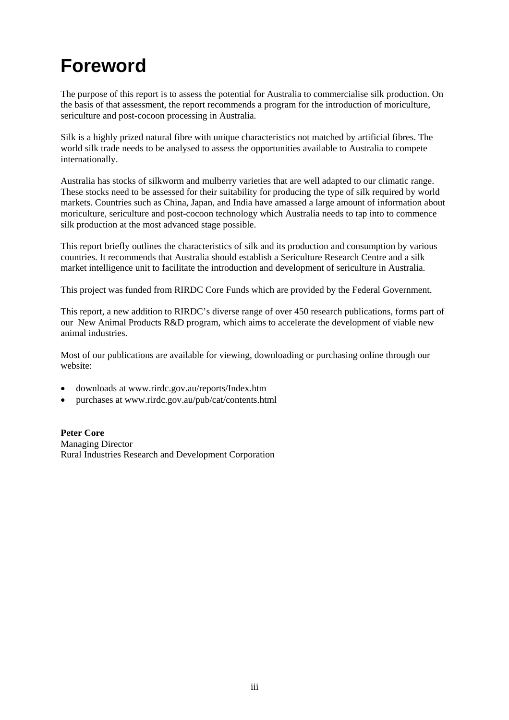# **Foreword**

The purpose of this report is to assess the potential for Australia to commercialise silk production. On the basis of that assessment, the report recommends a program for the introduction of moriculture, sericulture and post-cocoon processing in Australia.

Silk is a highly prized natural fibre with unique characteristics not matched by artificial fibres. The world silk trade needs to be analysed to assess the opportunities available to Australia to compete internationally.

Australia has stocks of silkworm and mulberry varieties that are well adapted to our climatic range. These stocks need to be assessed for their suitability for producing the type of silk required by world markets. Countries such as China, Japan, and India have amassed a large amount of information about moriculture, sericulture and post-cocoon technology which Australia needs to tap into to commence silk production at the most advanced stage possible.

This report briefly outlines the characteristics of silk and its production and consumption by various countries. It recommends that Australia should establish a Sericulture Research Centre and a silk market intelligence unit to facilitate the introduction and development of sericulture in Australia.

This project was funded from RIRDC Core Funds which are provided by the Federal Government.

This report, a new addition to RIRDC's diverse range of over 450 research publications, forms part of our New Animal Products R&D program, which aims to accelerate the development of viable new animal industries.

Most of our publications are available for viewing, downloading or purchasing online through our website:

- downloads at www.rirdc.gov.au/reports/Index.htm
- purchases at www.rirdc.gov.au/pub/cat/contents.html

**Peter Core**  Managing Director Rural Industries Research and Development Corporation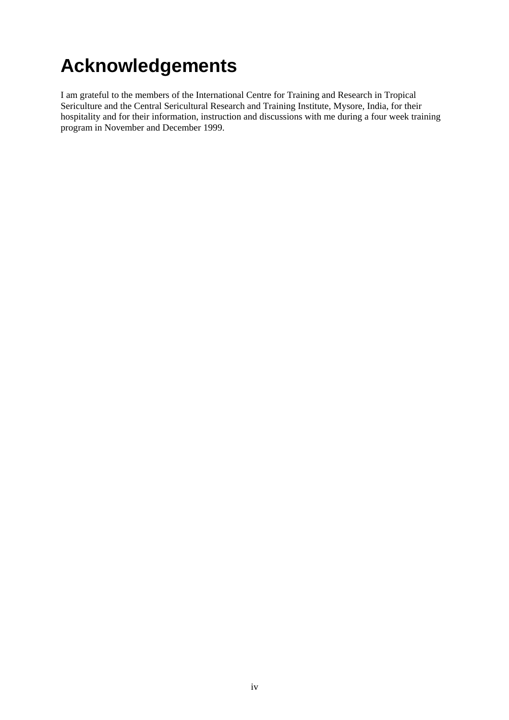# **Acknowledgements**

I am grateful to the members of the International Centre for Training and Research in Tropical Sericulture and the Central Sericultural Research and Training Institute, Mysore, India, for their hospitality and for their information, instruction and discussions with me during a four week training program in November and December 1999.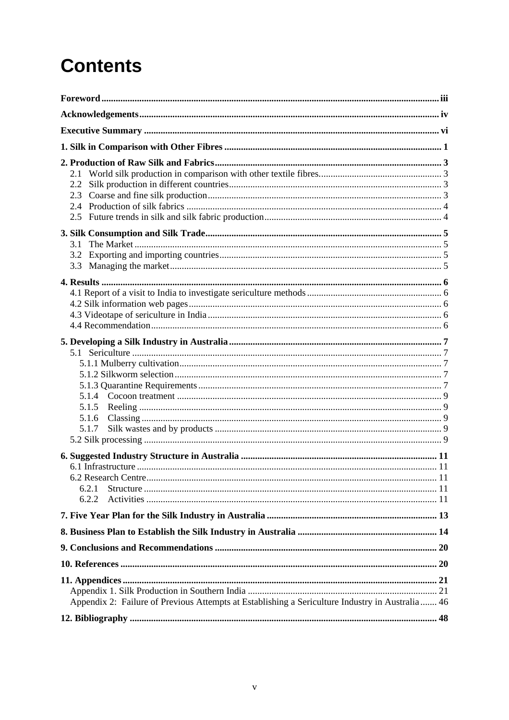# **Contents**

| 2.1<br>2.2<br>2.3<br>2.4<br>2.5                                                                 |  |
|-------------------------------------------------------------------------------------------------|--|
| 3.1<br>3.2<br>3.3                                                                               |  |
|                                                                                                 |  |
|                                                                                                 |  |
|                                                                                                 |  |
| 5.1.4<br>5.1.5<br>5.1.6<br>5.1.7                                                                |  |
|                                                                                                 |  |
| 6.2.1<br>6.2.2                                                                                  |  |
|                                                                                                 |  |
|                                                                                                 |  |
|                                                                                                 |  |
|                                                                                                 |  |
| Appendix 2: Failure of Previous Attempts at Establishing a Sericulture Industry in Australia 46 |  |
|                                                                                                 |  |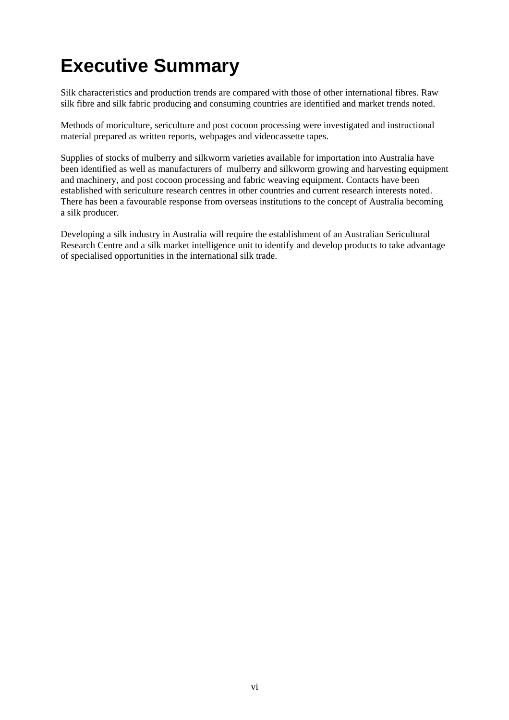# **Executive Summary**

Silk characteristics and production trends are compared with those of other international fibres. Raw silk fibre and silk fabric producing and consuming countries are identified and market trends noted.

Methods of moriculture, sericulture and post cocoon processing were investigated and instructional material prepared as written reports, webpages and videocassette tapes.

Supplies of stocks of mulberry and silkworm varieties available for importation into Australia have been identified as well as manufacturers of mulberry and silkworm growing and harvesting equipment and machinery, and post cocoon processing and fabric weaving equipment. Contacts have been established with sericulture research centres in other countries and current research interests noted. There has been a favourable response from overseas institutions to the concept of Australia becoming a silk producer.

Developing a silk industry in Australia will require the establishment of an Australian Sericultural Research Centre and a silk market intelligence unit to identify and develop products to take advantage of specialised opportunities in the international silk trade.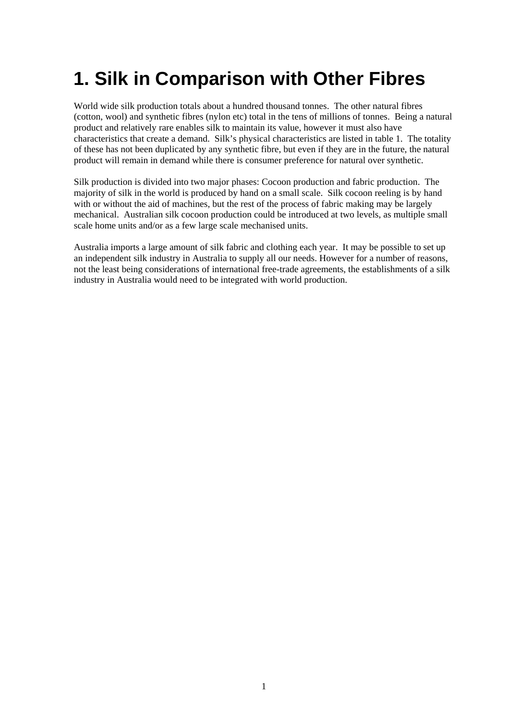# **1. Silk in Comparison with Other Fibres**

World wide silk production totals about a hundred thousand tonnes. The other natural fibres (cotton, wool) and synthetic fibres (nylon etc) total in the tens of millions of tonnes. Being a natural product and relatively rare enables silk to maintain its value, however it must also have characteristics that create a demand. Silk's physical characteristics are listed in table 1. The totality of these has not been duplicated by any synthetic fibre, but even if they are in the future, the natural product will remain in demand while there is consumer preference for natural over synthetic.

Silk production is divided into two major phases: Cocoon production and fabric production. The majority of silk in the world is produced by hand on a small scale. Silk cocoon reeling is by hand with or without the aid of machines, but the rest of the process of fabric making may be largely mechanical. Australian silk cocoon production could be introduced at two levels, as multiple small scale home units and/or as a few large scale mechanised units.

Australia imports a large amount of silk fabric and clothing each year. It may be possible to set up an independent silk industry in Australia to supply all our needs. However for a number of reasons, not the least being considerations of international free-trade agreements, the establishments of a silk industry in Australia would need to be integrated with world production.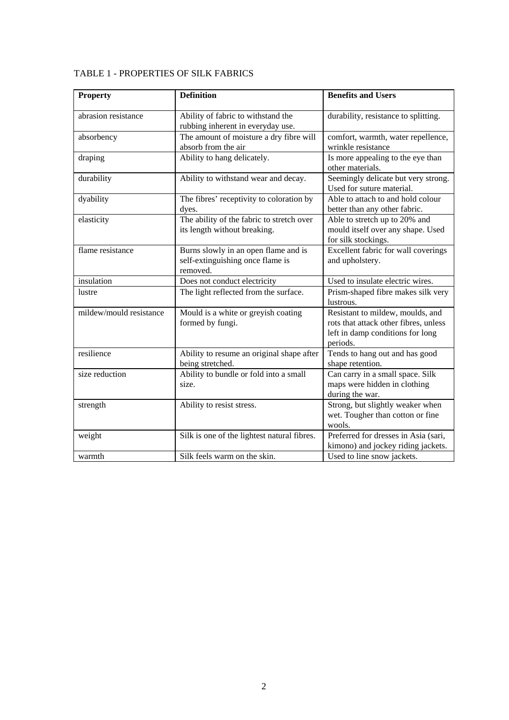| <b>Property</b>         | <b>Definition</b>                                                                    | <b>Benefits and Users</b>                                                                                                 |
|-------------------------|--------------------------------------------------------------------------------------|---------------------------------------------------------------------------------------------------------------------------|
| abrasion resistance     | Ability of fabric to withstand the<br>rubbing inherent in everyday use.              | durability, resistance to splitting.                                                                                      |
| absorbency              | The amount of moisture a dry fibre will<br>absorb from the air                       | comfort, warmth, water repellence,<br>wrinkle resistance                                                                  |
| draping                 | Ability to hang delicately.                                                          | Is more appealing to the eye than<br>other materials.                                                                     |
| durability              | Ability to withstand wear and decay.                                                 | Seemingly delicate but very strong.<br>Used for suture material.                                                          |
| dyability               | The fibres' receptivity to coloration by<br>dyes.                                    | Able to attach to and hold colour<br>better than any other fabric.                                                        |
| elasticity              | The ability of the fabric to stretch over<br>its length without breaking.            | Able to stretch up to 20% and<br>mould itself over any shape. Used<br>for silk stockings.                                 |
| flame resistance        | Burns slowly in an open flame and is<br>self-extinguishing once flame is<br>removed. | Excellent fabric for wall coverings<br>and upholstery.                                                                    |
| insulation              | Does not conduct electricity                                                         | Used to insulate electric wires.                                                                                          |
| lustre                  | The light reflected from the surface.                                                | Prism-shaped fibre makes silk very<br>lustrous.                                                                           |
| mildew/mould resistance | Mould is a white or greyish coating<br>formed by fungi.                              | Resistant to mildew, moulds, and<br>rots that attack other fibres, unless<br>left in damp conditions for long<br>periods. |
| resilience              | Ability to resume an original shape after<br>being stretched.                        | Tends to hang out and has good<br>shape retention.                                                                        |
| size reduction          | Ability to bundle or fold into a small<br>size.                                      | Can carry in a small space. Silk<br>maps were hidden in clothing<br>during the war.                                       |
| strength                | Ability to resist stress.                                                            | Strong, but slightly weaker when<br>wet. Tougher than cotton or fine<br>wools.                                            |
| weight                  | Silk is one of the lightest natural fibres.                                          | Preferred for dresses in Asia (sari,<br>kimono) and jockey riding jackets.                                                |
| warmth                  | Silk feels warm on the skin.                                                         | Used to line snow jackets.                                                                                                |

#### TABLE 1 - PROPERTIES OF SILK FABRICS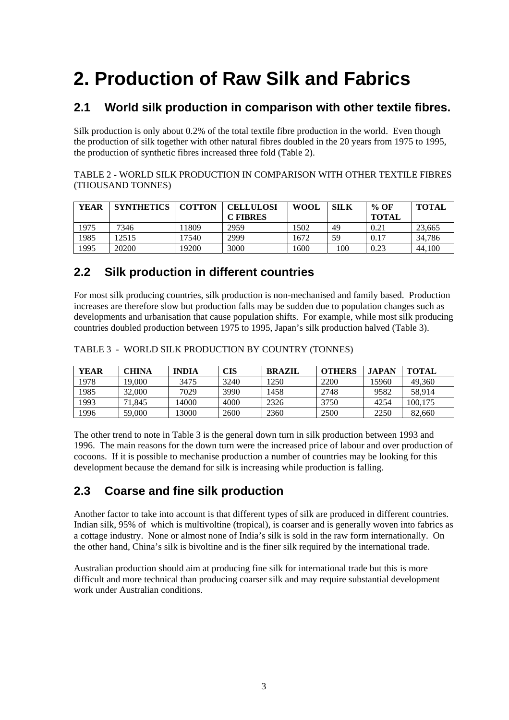# **2. Production of Raw Silk and Fabrics**

## **2.1 World silk production in comparison with other textile fibres.**

Silk production is only about 0.2% of the total textile fibre production in the world. Even though the production of silk together with other natural fibres doubled in the 20 years from 1975 to 1995, the production of synthetic fibres increased three fold (Table 2).

TABLE 2 - WORLD SILK PRODUCTION IN COMPARISON WITH OTHER TEXTILE FIBRES (THOUSAND TONNES)

| YEAR | <b>SYNTHETICS</b> | <b>COTTON</b> | <b>CELLULOSI</b> | <b>WOOL</b> | <b>SILK</b> | % OF         | <b>TOTAL</b> |
|------|-------------------|---------------|------------------|-------------|-------------|--------------|--------------|
|      |                   |               | <b>C FIBRES</b>  |             |             | <b>TOTAL</b> |              |
| 1975 | 7346              | 11809         | 2959             | 1502        | 49          | 0.21         | 23.665       |
| 1985 | 12515             | 17540         | 2999             | 1672        | 59          | 0.17         | 34.786       |
| 1995 | 20200             | 19200         | 3000             | 1600        | 100         | 0.23         | 44.100       |

## **2.2 Silk production in different countries**

For most silk producing countries, silk production is non-mechanised and family based. Production increases are therefore slow but production falls may be sudden due to population changes such as developments and urbanisation that cause population shifts. For example, while most silk producing countries doubled production between 1975 to 1995, Japan's silk production halved (Table 3).

| <b>YEAR</b> | CHINA  | <b>INDIA</b> | CIS  | <b>BRAZIL</b> | <b>OTHERS</b> | <b>JAPAN</b> | <b>TOTAL</b> |
|-------------|--------|--------------|------|---------------|---------------|--------------|--------------|
| 1978        | 19.000 | 3475         | 3240 | 1250          | 2200          | 15960        | 49,360       |
| 1985        | 32,000 | 7029         | 3990 | 1458          | 2748          | 9582         | 58.914       |
| 1993        | 71.845 | 4000         | 4000 | 2326          | 3750          | 4254         | 100.175      |
| 1996        | 59,000 | ' 3000       | 2600 | 2360          | 2500          | 2250         | 82,660       |

TABLE 3 - WORLD SILK PRODUCTION BY COUNTRY (TONNES)

The other trend to note in Table 3 is the general down turn in silk production between 1993 and 1996. The main reasons for the down turn were the increased price of labour and over production of cocoons. If it is possible to mechanise production a number of countries may be looking for this development because the demand for silk is increasing while production is falling.

## **2.3 Coarse and fine silk production**

Another factor to take into account is that different types of silk are produced in different countries. Indian silk, 95% of which is multivoltine (tropical), is coarser and is generally woven into fabrics as a cottage industry. None or almost none of India's silk is sold in the raw form internationally. On the other hand, China's silk is bivoltine and is the finer silk required by the international trade.

Australian production should aim at producing fine silk for international trade but this is more difficult and more technical than producing coarser silk and may require substantial development work under Australian conditions.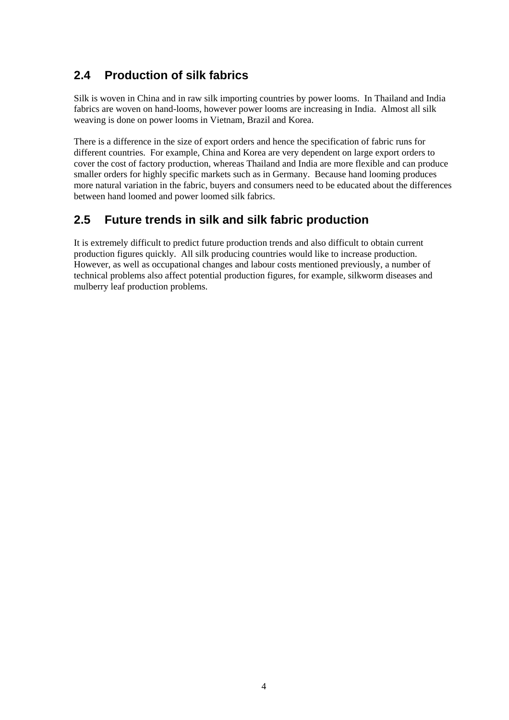## **2.4 Production of silk fabrics**

Silk is woven in China and in raw silk importing countries by power looms. In Thailand and India fabrics are woven on hand-looms, however power looms are increasing in India. Almost all silk weaving is done on power looms in Vietnam, Brazil and Korea.

There is a difference in the size of export orders and hence the specification of fabric runs for different countries. For example, China and Korea are very dependent on large export orders to cover the cost of factory production, whereas Thailand and India are more flexible and can produce smaller orders for highly specific markets such as in Germany. Because hand looming produces more natural variation in the fabric, buyers and consumers need to be educated about the differences between hand loomed and power loomed silk fabrics.

## **2.5 Future trends in silk and silk fabric production**

It is extremely difficult to predict future production trends and also difficult to obtain current production figures quickly. All silk producing countries would like to increase production. However, as well as occupational changes and labour costs mentioned previously, a number of technical problems also affect potential production figures, for example, silkworm diseases and mulberry leaf production problems.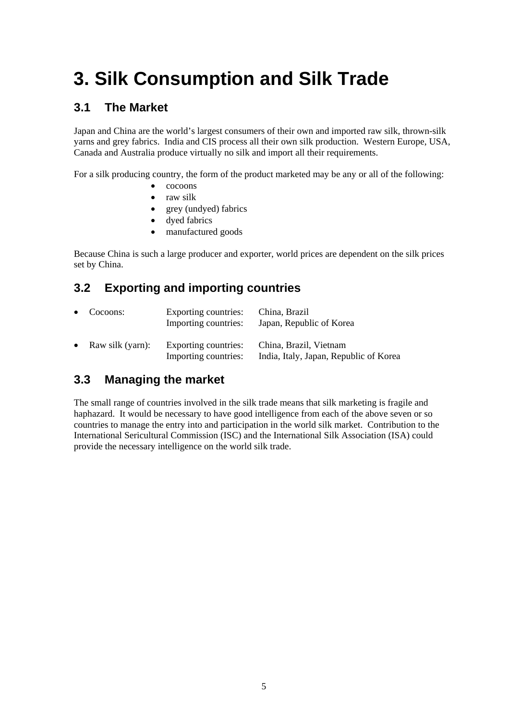# **3. Silk Consumption and Silk Trade**

### **3.1 The Market**

Japan and China are the world's largest consumers of their own and imported raw silk, thrown-silk yarns and grey fabrics. India and CIS process all their own silk production. Western Europe, USA, Canada and Australia produce virtually no silk and import all their requirements.

For a silk producing country, the form of the product marketed may be any or all of the following:

- cocoons
- raw silk
- grey (undyed) fabrics
- dyed fabrics
- manufactured goods

Because China is such a large producer and exporter, world prices are dependent on the silk prices set by China.

## **3.2 Exporting and importing countries**

|           | $\bullet$ Cocoons: | Exporting countries:<br>Importing countries: | China, Brazil<br>Japan, Republic of Korea                        |
|-----------|--------------------|----------------------------------------------|------------------------------------------------------------------|
| $\bullet$ | Raw silk (yarn):   | Exporting countries:<br>Importing countries: | China, Brazil, Vietnam<br>India, Italy, Japan, Republic of Korea |

## **3.3 Managing the market**

The small range of countries involved in the silk trade means that silk marketing is fragile and haphazard. It would be necessary to have good intelligence from each of the above seven or so countries to manage the entry into and participation in the world silk market. Contribution to the International Sericultural Commission (ISC) and the International Silk Association (ISA) could provide the necessary intelligence on the world silk trade.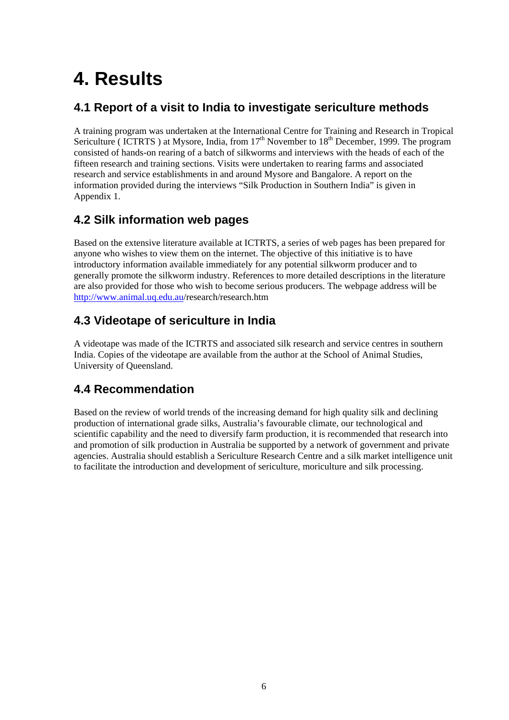# **4. Results**

## **4.1 Report of a visit to India to investigate sericulture methods**

A training program was undertaken at the International Centre for Training and Research in Tropical Sericulture ( ICTRTS ) at Mysore, India, from  $17<sup>th</sup>$  November to  $18<sup>th</sup>$  December, 1999. The program consisted of hands-on rearing of a batch of silkworms and interviews with the heads of each of the fifteen research and training sections. Visits were undertaken to rearing farms and associated research and service establishments in and around Mysore and Bangalore. A report on the information provided during the interviews "Silk Production in Southern India" is given in Appendix 1.

## **4.2 Silk information web pages**

Based on the extensive literature available at ICTRTS, a series of web pages has been prepared for anyone who wishes to view them on the internet. The objective of this initiative is to have introductory information available immediately for any potential silkworm producer and to generally promote the silkworm industry. References to more detailed descriptions in the literature are also provided for those who wish to become serious producers. The webpage address will be http://www.animal.uq.edu.au/research/research.htm

## **4.3 Videotape of sericulture in India**

A videotape was made of the ICTRTS and associated silk research and service centres in southern India. Copies of the videotape are available from the author at the School of Animal Studies, University of Queensland.

## **4.4 Recommendation**

Based on the review of world trends of the increasing demand for high quality silk and declining production of international grade silks, Australia's favourable climate, our technological and scientific capability and the need to diversify farm production, it is recommended that research into and promotion of silk production in Australia be supported by a network of government and private agencies. Australia should establish a Sericulture Research Centre and a silk market intelligence unit to facilitate the introduction and development of sericulture, moriculture and silk processing.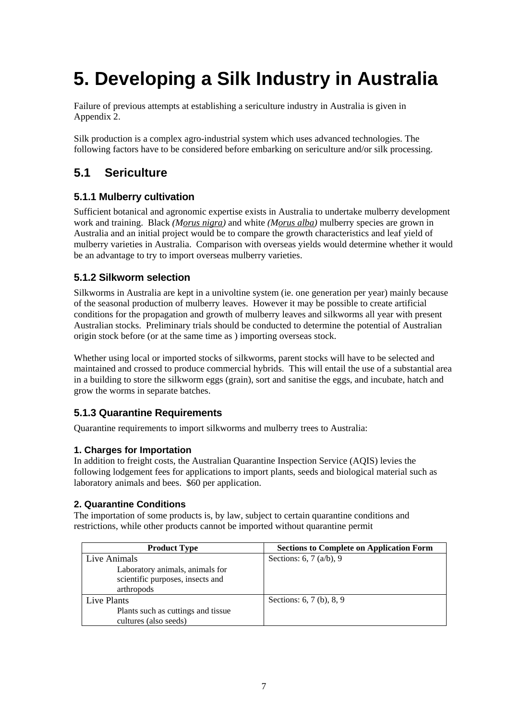# **5. Developing a Silk Industry in Australia**

Failure of previous attempts at establishing a sericulture industry in Australia is given in Appendix 2.

Silk production is a complex agro-industrial system which uses advanced technologies. The following factors have to be considered before embarking on sericulture and/or silk processing.

## **5.1 Sericulture**

#### **5.1.1 Mulberry cultivation**

Sufficient botanical and agronomic expertise exists in Australia to undertake mulberry development work and training. Black *(Morus nigra)* and white *(Morus alba)* mulberry species are grown in Australia and an initial project would be to compare the growth characteristics and leaf yield of mulberry varieties in Australia. Comparison with overseas yields would determine whether it would be an advantage to try to import overseas mulberry varieties.

#### **5.1.2 Silkworm selection**

Silkworms in Australia are kept in a univoltine system (ie. one generation per year) mainly because of the seasonal production of mulberry leaves. However it may be possible to create artificial conditions for the propagation and growth of mulberry leaves and silkworms all year with present Australian stocks. Preliminary trials should be conducted to determine the potential of Australian origin stock before (or at the same time as ) importing overseas stock.

Whether using local or imported stocks of silkworms, parent stocks will have to be selected and maintained and crossed to produce commercial hybrids. This will entail the use of a substantial area in a building to store the silkworm eggs (grain), sort and sanitise the eggs, and incubate, hatch and grow the worms in separate batches.

#### **5.1.3 Quarantine Requirements**

Quarantine requirements to import silkworms and mulberry trees to Australia:

#### **1. Charges for Importation**

In addition to freight costs, the Australian Quarantine Inspection Service (AQIS) levies the following lodgement fees for applications to import plants, seeds and biological material such as laboratory animals and bees. \$60 per application.

#### **2. Quarantine Conditions**

The importation of some products is, by law, subject to certain quarantine conditions and restrictions, while other products cannot be imported without quarantine permit

| <b>Product Type</b>                | <b>Sections to Complete on Application Form</b> |
|------------------------------------|-------------------------------------------------|
| Live Animals                       | Sections: 6, 7 $(a/b)$ , 9                      |
| Laboratory animals, animals for    |                                                 |
| scientific purposes, insects and   |                                                 |
| arthropods                         |                                                 |
| Live Plants                        | Sections: 6, 7 (b), 8, 9                        |
| Plants such as cuttings and tissue |                                                 |
| cultures (also seeds)              |                                                 |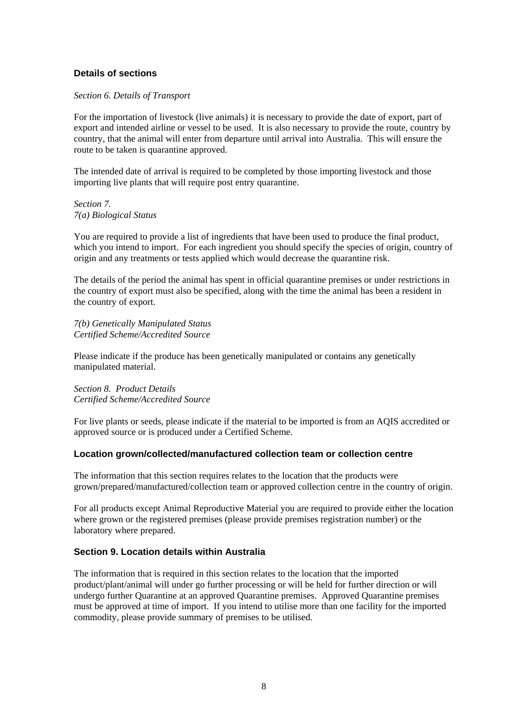#### **Details of sections**

#### *Section 6. Details of Transport*

For the importation of livestock (live animals) it is necessary to provide the date of export, part of export and intended airline or vessel to be used. It is also necessary to provide the route, country by country, that the animal will enter from departure until arrival into Australia. This will ensure the route to be taken is quarantine approved.

The intended date of arrival is required to be completed by those importing livestock and those importing live plants that will require post entry quarantine.

*Section 7. 7(a) Biological Status* 

You are required to provide a list of ingredients that have been used to produce the final product, which you intend to import. For each ingredient you should specify the species of origin, country of origin and any treatments or tests applied which would decrease the quarantine risk.

The details of the period the animal has spent in official quarantine premises or under restrictions in the country of export must also be specified, along with the time the animal has been a resident in the country of export.

*7(b) Genetically Manipulated Status Certified Scheme/Accredited Source* 

Please indicate if the produce has been genetically manipulated or contains any genetically manipulated material.

*Section 8. Product Details Certified Scheme/Accredited Source*

For live plants or seeds, please indicate if the material to be imported is from an AQIS accredited or approved source or is produced under a Certified Scheme.

#### **Location grown/collected/manufactured collection team or collection centre**

The information that this section requires relates to the location that the products were grown/prepared/manufactured/collection team or approved collection centre in the country of origin.

For all products except Animal Reproductive Material you are required to provide either the location where grown or the registered premises (please provide premises registration number) or the laboratory where prepared.

#### **Section 9. Location details within Australia**

The information that is required in this section relates to the location that the imported product/plant/animal will under go further processing or will be held for further direction or will undergo further Quarantine at an approved Quarantine premises. Approved Quarantine premises must be approved at time of import. If you intend to utilise more than one facility for the imported commodity, please provide summary of premises to be utilised.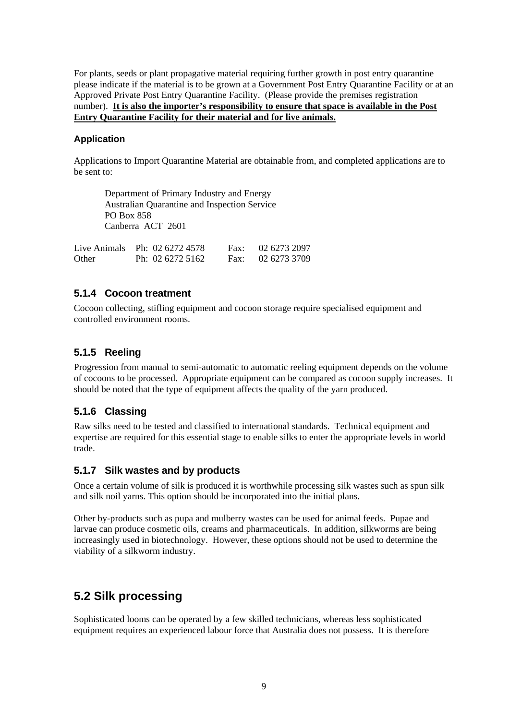For plants, seeds or plant propagative material requiring further growth in post entry quarantine please indicate if the material is to be grown at a Government Post Entry Quarantine Facility or at an Approved Private Post Entry Quarantine Facility. (Please provide the premises registration number). **It is also the importer's responsibility to ensure that space is available in the Post Entry Quarantine Facility for their material and for live animals.**

#### **Application**

Applications to Import Quarantine Material are obtainable from, and completed applications are to be sent to:

 Department of Primary Industry and Energy Australian Quarantine and Inspection Service PO Box 858 Canberra ACT 2601

|       | Live Animals Ph: $0262724578$ | Fax: 02 6273 2097 |
|-------|-------------------------------|-------------------|
| Other | Ph: $0262725162$              | Fax: $0262733709$ |

#### **5.1.4 Cocoon treatment**

Cocoon collecting, stifling equipment and cocoon storage require specialised equipment and controlled environment rooms.

#### **5.1.5 Reeling**

Progression from manual to semi-automatic to automatic reeling equipment depends on the volume of cocoons to be processed. Appropriate equipment can be compared as cocoon supply increases. It should be noted that the type of equipment affects the quality of the yarn produced.

#### **5.1.6 Classing**

Raw silks need to be tested and classified to international standards. Technical equipment and expertise are required for this essential stage to enable silks to enter the appropriate levels in world trade.

#### **5.1.7 Silk wastes and by products**

Once a certain volume of silk is produced it is worthwhile processing silk wastes such as spun silk and silk noil yarns. This option should be incorporated into the initial plans.

Other by-products such as pupa and mulberry wastes can be used for animal feeds. Pupae and larvae can produce cosmetic oils, creams and pharmaceuticals. In addition, silkworms are being increasingly used in biotechnology. However, these options should not be used to determine the viability of a silkworm industry.

## **5.2 Silk processing**

Sophisticated looms can be operated by a few skilled technicians, whereas less sophisticated equipment requires an experienced labour force that Australia does not possess. It is therefore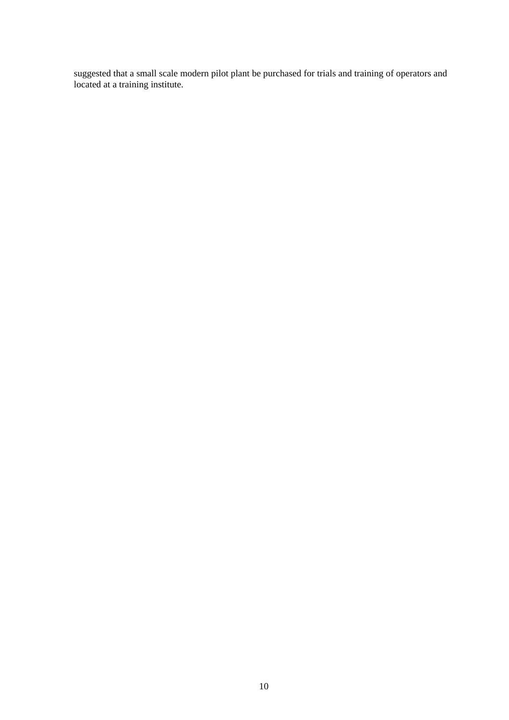suggested that a small scale modern pilot plant be purchased for trials and training of operators and located at a training institute.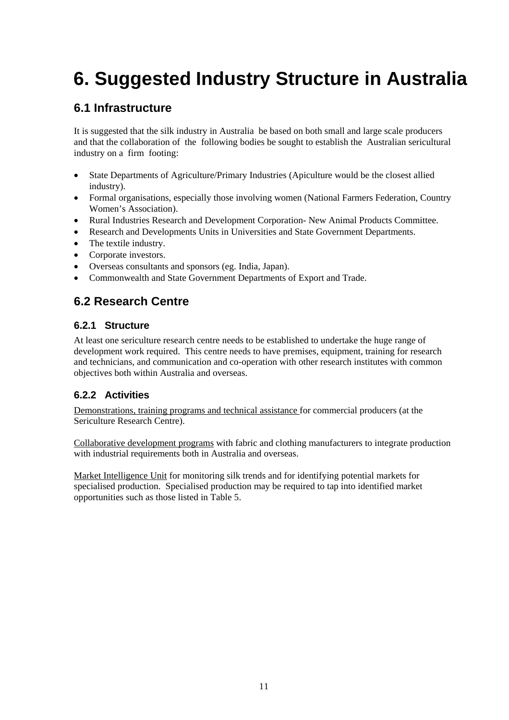# **6. Suggested Industry Structure in Australia**

## **6.1 Infrastructure**

It is suggested that the silk industry in Australia be based on both small and large scale producers and that the collaboration of the following bodies be sought to establish the Australian sericultural industry on a firm footing:

- State Departments of Agriculture/Primary Industries (Apiculture would be the closest allied industry).
- Formal organisations, especially those involving women (National Farmers Federation, Country Women's Association).
- Rural Industries Research and Development Corporation- New Animal Products Committee.
- Research and Developments Units in Universities and State Government Departments.
- The textile industry.
- Corporate investors.
- Overseas consultants and sponsors (eg. India, Japan).
- Commonwealth and State Government Departments of Export and Trade.

## **6.2 Research Centre**

#### **6.2.1 Structure**

At least one sericulture research centre needs to be established to undertake the huge range of development work required. This centre needs to have premises, equipment, training for research and technicians, and communication and co-operation with other research institutes with common objectives both within Australia and overseas.

#### **6.2.2 Activities**

Demonstrations, training programs and technical assistance for commercial producers (at the Sericulture Research Centre).

Collaborative development programs with fabric and clothing manufacturers to integrate production with industrial requirements both in Australia and overseas.

Market Intelligence Unit for monitoring silk trends and for identifying potential markets for specialised production. Specialised production may be required to tap into identified market opportunities such as those listed in Table 5.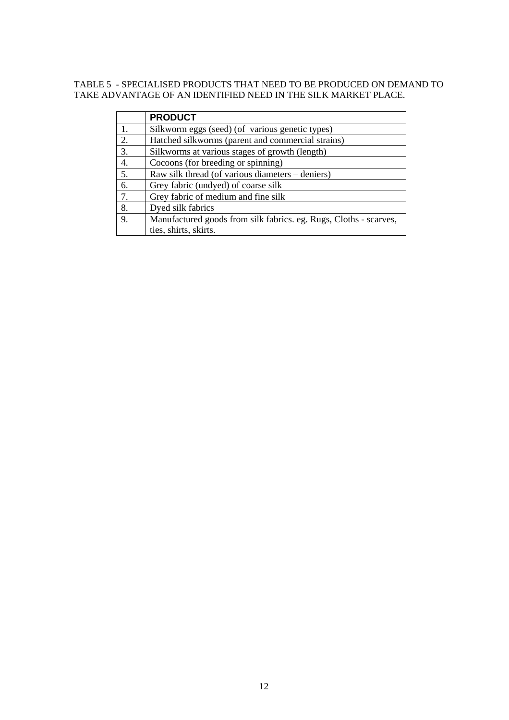#### TABLE 5 - SPECIALISED PRODUCTS THAT NEED TO BE PRODUCED ON DEMAND TO TAKE ADVANTAGE OF AN IDENTIFIED NEED IN THE SILK MARKET PLACE.

|    | <b>PRODUCT</b>                                                    |
|----|-------------------------------------------------------------------|
| 1. | Silkworm eggs (seed) (of various genetic types)                   |
| 2. | Hatched silkworms (parent and commercial strains)                 |
| 3. | Silkworms at various stages of growth (length)                    |
| 4. | Cocoons (for breeding or spinning)                                |
| 5. | Raw silk thread (of various diameters – deniers)                  |
| 6. | Grey fabric (undyed) of coarse silk                               |
| 7. | Grey fabric of medium and fine silk                               |
| 8. | Dyed silk fabrics                                                 |
| 9. | Manufactured goods from silk fabrics. eg. Rugs, Cloths - scarves, |
|    | ties, shirts, skirts.                                             |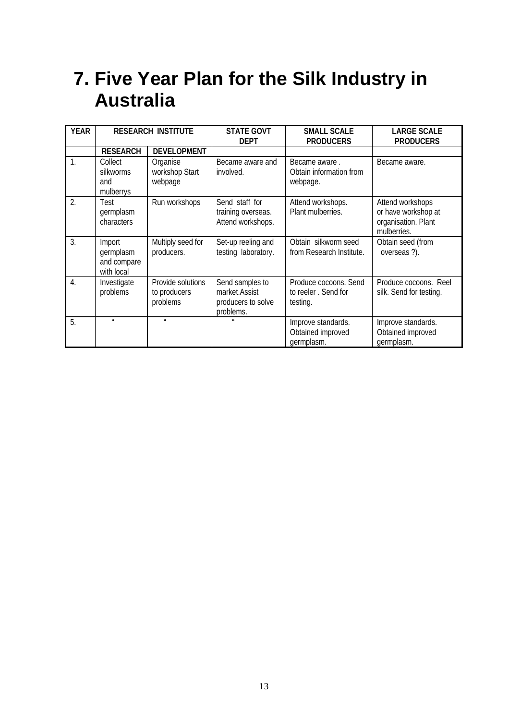# **7. Five Year Plan for the Silk Industry in Australia**

| <b>YEAR</b>      | <b>RESEARCH INSTITUTE</b>                        |                                               | <b>STATE GOVT</b><br><b>DEPT</b>                                    | <b>SMALL SCALE</b><br><b>PRODUCERS</b>                   | <b>LARGE SCALE</b><br><b>PRODUCERS</b>                                        |
|------------------|--------------------------------------------------|-----------------------------------------------|---------------------------------------------------------------------|----------------------------------------------------------|-------------------------------------------------------------------------------|
|                  | <b>RESEARCH</b>                                  | <b>DEVELOPMENT</b>                            |                                                                     |                                                          |                                                                               |
| $\overline{1}$ . | Collect<br>silkworms<br>and<br>mulberrys         | Organise<br>workshop Start<br>webpage         | Became aware and<br>involved.                                       | Became aware.<br>Obtain information from<br>webpage.     | Became aware.                                                                 |
| $\overline{2}$ . | Test<br>germplasm<br>characters                  | Run workshops                                 | Send staff for<br>training overseas.<br>Attend workshops.           | Attend workshops.<br>Plant mulberries.                   | Attend workshops<br>or have workshop at<br>organisation. Plant<br>mulberries. |
| 3.               | Import<br>germplasm<br>and compare<br>with local | Multiply seed for<br>producers.               | Set-up reeling and<br>testing laboratory.                           | Obtain silkworm seed<br>from Research Institute.         | Obtain seed (from<br>overseas ?).                                             |
| $\overline{4}$ . | Investigate<br>problems                          | Provide solutions<br>to producers<br>problems | Send samples to<br>market.Assist<br>producers to solve<br>problems. | Produce cocoons. Send<br>to reeler. Send for<br>testing. | Produce cocoons. Reel<br>silk. Send for testing.                              |
| 5.               | $\mathbf{u}$                                     | $\mathbf{u}$                                  | $\mathbf{u}$                                                        | Improve standards.<br>Obtained improved<br>germplasm.    | Improve standards.<br>Obtained improved<br>germplasm.                         |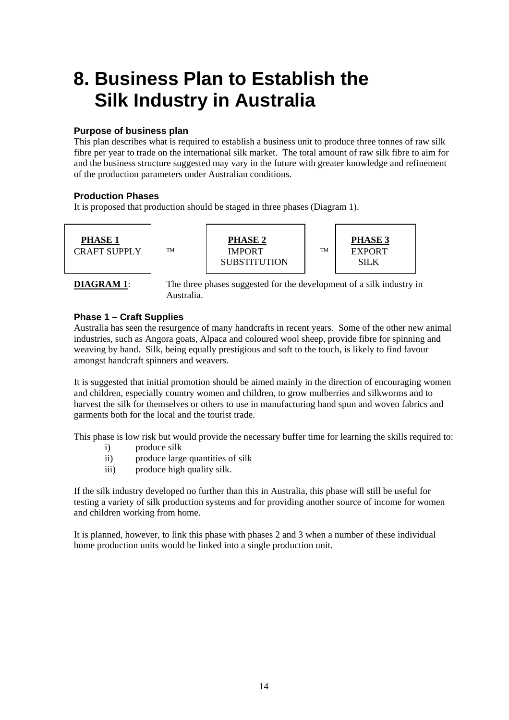# **8. Business Plan to Establish the Silk Industry in Australia**

#### **Purpose of business plan**

This plan describes what is required to establish a business unit to produce three tonnes of raw silk fibre per year to trade on the international silk market. The total amount of raw silk fibre to aim for and the business structure suggested may vary in the future with greater knowledge and refinement of the production parameters under Australian conditions.

#### **Production Phases**

It is proposed that production should be staged in three phases (Diagram 1).







**DIAGRAM 1:** The three phases suggested for the development of a silk industry in Australia.

#### **Phase 1 – Craft Supplies**

Australia has seen the resurgence of many handcrafts in recent years. Some of the other new animal industries, such as Angora goats, Alpaca and coloured wool sheep, provide fibre for spinning and weaving by hand. Silk, being equally prestigious and soft to the touch, is likely to find favour amongst handcraft spinners and weavers.

It is suggested that initial promotion should be aimed mainly in the direction of encouraging women and children, especially country women and children, to grow mulberries and silkworms and to harvest the silk for themselves or others to use in manufacturing hand spun and woven fabrics and garments both for the local and the tourist trade.

This phase is low risk but would provide the necessary buffer time for learning the skills required to:

- i) produce silk
- ii) produce large quantities of silk
- iii) produce high quality silk.

If the silk industry developed no further than this in Australia, this phase will still be useful for testing a variety of silk production systems and for providing another source of income for women and children working from home.

It is planned, however, to link this phase with phases 2 and 3 when a number of these individual home production units would be linked into a single production unit.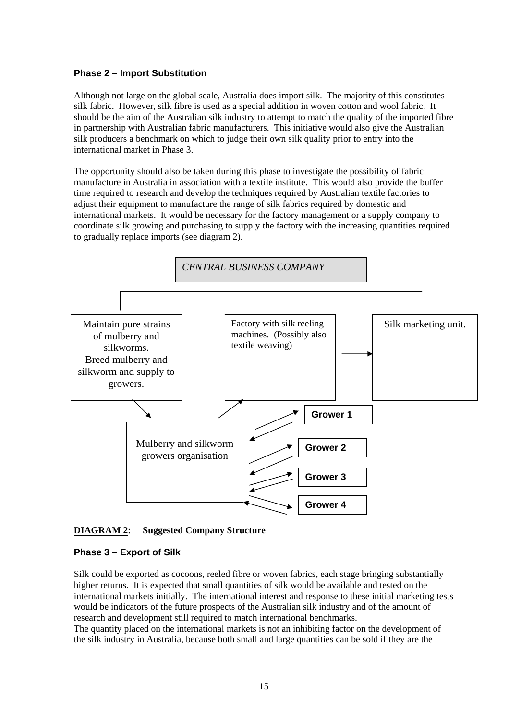#### **Phase 2 – Import Substitution**

Although not large on the global scale, Australia does import silk. The majority of this constitutes silk fabric. However, silk fibre is used as a special addition in woven cotton and wool fabric. It should be the aim of the Australian silk industry to attempt to match the quality of the imported fibre in partnership with Australian fabric manufacturers. This initiative would also give the Australian silk producers a benchmark on which to judge their own silk quality prior to entry into the international market in Phase 3.

The opportunity should also be taken during this phase to investigate the possibility of fabric manufacture in Australia in association with a textile institute. This would also provide the buffer time required to research and develop the techniques required by Australian textile factories to adjust their equipment to manufacture the range of silk fabrics required by domestic and international markets. It would be necessary for the factory management or a supply company to coordinate silk growing and purchasing to supply the factory with the increasing quantities required to gradually replace imports (see diagram 2).



#### **DIAGRAM 2: Suggested Company Structure**

#### **Phase 3 – Export of Silk**

Silk could be exported as cocoons, reeled fibre or woven fabrics, each stage bringing substantially higher returns. It is expected that small quantities of silk would be available and tested on the international markets initially. The international interest and response to these initial marketing tests would be indicators of the future prospects of the Australian silk industry and of the amount of research and development still required to match international benchmarks.

The quantity placed on the international markets is not an inhibiting factor on the development of the silk industry in Australia, because both small and large quantities can be sold if they are the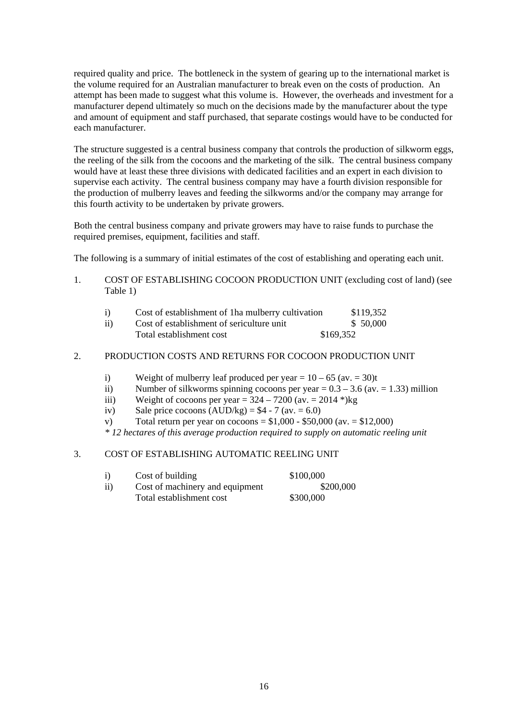required quality and price. The bottleneck in the system of gearing up to the international market is the volume required for an Australian manufacturer to break even on the costs of production. An attempt has been made to suggest what this volume is. However, the overheads and investment for a manufacturer depend ultimately so much on the decisions made by the manufacturer about the type and amount of equipment and staff purchased, that separate costings would have to be conducted for each manufacturer.

The structure suggested is a central business company that controls the production of silkworm eggs, the reeling of the silk from the cocoons and the marketing of the silk. The central business company would have at least these three divisions with dedicated facilities and an expert in each division to supervise each activity. The central business company may have a fourth division responsible for the production of mulberry leaves and feeding the silkworms and/or the company may arrange for this fourth activity to be undertaken by private growers.

Both the central business company and private growers may have to raise funds to purchase the required premises, equipment, facilities and staff.

The following is a summary of initial estimates of the cost of establishing and operating each unit.

1. COST OF ESTABLISHING COCOON PRODUCTION UNIT (excluding cost of land) (see Table 1)

| i)  | Cost of establishment of 1ha mulberry cultivation | \$119,352 |
|-----|---------------------------------------------------|-----------|
| ii) | Cost of establishment of sericulture unit         | \$ 50,000 |
|     | Total establishment cost                          | \$169,352 |

#### 2. PRODUCTION COSTS AND RETURNS FOR COCOON PRODUCTION UNIT

- i) Weight of mulberry leaf produced per year =  $10 65$  (av. = 30)t
- ii) Number of silkworms spinning cocoons per year  $= 0.3 3.6$  (ay.  $= 1.33$ ) million
- iii) Weight of cocoons per year =  $324 7200$  (av. = 2014 \*)kg
- iv) Sale price cocoons  $(AUD/kg) = $4 7 (av. = 6.0)$
- v) Total return per year on cocoons =  $$1,000 $50,000$  (av. =  $$12,000$ )

*\* 12 hectares of this average production required to supply on automatic reeling unit* 

#### 3. COST OF ESTABLISHING AUTOMATIC REELING UNIT

| i)  | Cost of building                | \$100,000 |
|-----|---------------------------------|-----------|
| ii) | Cost of machinery and equipment | \$200,000 |
|     | Total establishment cost        | \$300,000 |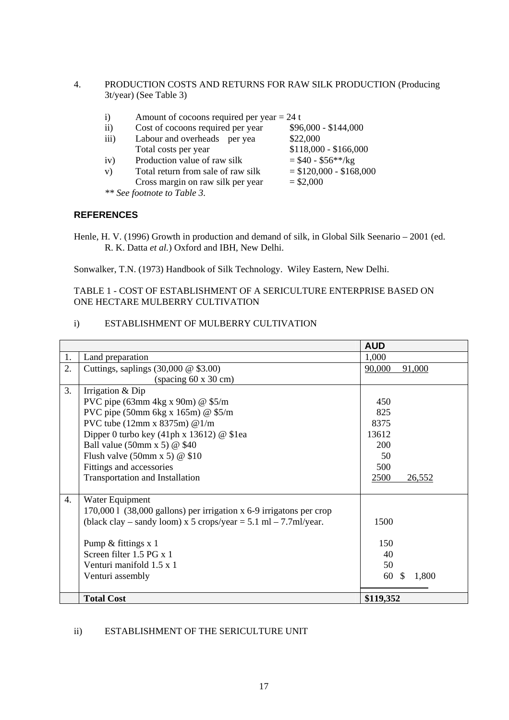4. PRODUCTION COSTS AND RETURNS FOR RAW SILK PRODUCTION (Producing 3t/year) (See Table 3)

| $\mathbf{i}$       | Amount of cocoons required per year $= 24$ t |                         |
|--------------------|----------------------------------------------|-------------------------|
| $\mathbf{ii}$      | Cost of cocoons required per year            | $$96,000 - $144,000$    |
| $\overline{111}$ ) | Labour and overheads per yea                 | \$22,000                |
|                    | Total costs per year                         | $$118,000 - $166,000$   |
| iv)                | Production value of raw silk                 | $= $40 - $56**/kg$      |
| V)                 | Total return from sale of raw silk           | $= $120,000 - $168,000$ |
|                    | Cross margin on raw silk per year            | $= $2,000$              |
|                    | ** See footnote to Table 3.                  |                         |

#### **REFERENCES**

Henle, H. V. (1996) Growth in production and demand of silk, in Global Silk Seenario – 2001 (ed. R. K. Datta *et al.*) Oxford and IBH, New Delhi.

Sonwalker, T.N. (1973) Handbook of Silk Technology. Wiley Eastern, New Delhi.

#### TABLE 1 - COST OF ESTABLISHMENT OF A SERICULTURE ENTERPRISE BASED ON ONE HECTARE MULBERRY CULTIVATION

#### i) ESTABLISHMENT OF MULBERRY CULTIVATION

|    |                                                                      | <b>AUD</b>        |
|----|----------------------------------------------------------------------|-------------------|
| 1. | Land preparation                                                     | 1,000             |
| 2. | Cuttings, saplings $(30,000 \ @$ \$3.00)                             | 91,000<br>90,000  |
|    | (spaceing 60 x 30 cm)                                                |                   |
| 3. | Irrigation & Dip                                                     |                   |
|    | PVC pipe $(63 \text{mm} 4 \text{kg} \times 90 \text{m})$ @ \$5/m     | 450               |
|    | PVC pipe (50mm 6kg x 165m) @ \$5/m                                   | 825               |
|    | PVC tube $(12mm \times 8375m)$ @ $1/m$                               | 8375              |
|    | Dipper 0 turbo key (41ph x 13612) $@$ \$1ea                          | 13612             |
|    | Ball value (50mm x 5) $\omega$ \$40                                  | 200               |
|    | Flush valve $(50 \text{mm} \times 5)$ @ \$10                         | 50                |
|    | Fittings and accessories                                             | 500               |
|    | <b>Transportation and Installation</b>                               | 2500<br>26,552    |
|    |                                                                      |                   |
| 4. | Water Equipment                                                      |                   |
|    | 170,000 1 (38,000 gallons) per irrigation x 6-9 irrigatons per crop  |                   |
|    | (black clay – sandy loom) x 5 crops/year = $5.1$ ml – $7.7$ ml/year. | 1500              |
|    |                                                                      |                   |
|    | Pump & fittings x 1                                                  | 150               |
|    | Screen filter 1.5 PG x 1                                             | 40                |
|    | Venturi manifold 1.5 x 1                                             | 50                |
|    | Venturi assembly                                                     | 60<br>1,800<br>-S |
|    |                                                                      |                   |
|    | <b>Total Cost</b>                                                    | \$119,352         |

#### ii) ESTABLISHMENT OF THE SERICULTURE UNIT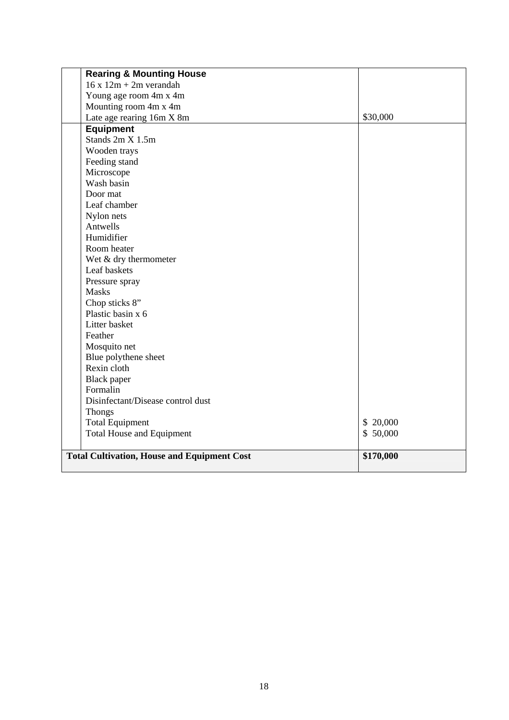| <b>Rearing &amp; Mounting House</b>                |           |
|----------------------------------------------------|-----------|
| $16x12m + 2m$ verandah                             |           |
| Young age room 4m x 4m                             |           |
| Mounting room 4m x 4m                              |           |
| Late age rearing 16m X 8m                          | \$30,000  |
| <b>Equipment</b>                                   |           |
| Stands 2m X 1.5m                                   |           |
| Wooden trays                                       |           |
| Feeding stand                                      |           |
| Microscope                                         |           |
| Wash basin                                         |           |
| Door mat                                           |           |
| Leaf chamber                                       |           |
| Nylon nets                                         |           |
| Antwells                                           |           |
| Humidifier                                         |           |
| Room heater                                        |           |
| Wet $&$ dry thermometer                            |           |
| Leaf baskets                                       |           |
| Pressure spray                                     |           |
| <b>Masks</b>                                       |           |
| Chop sticks 8"                                     |           |
| Plastic basin x 6                                  |           |
| Litter basket                                      |           |
| Feather                                            |           |
| Mosquito net                                       |           |
| Blue polythene sheet                               |           |
| Rexin cloth                                        |           |
| <b>Black</b> paper                                 |           |
| Formalin                                           |           |
| Disinfectant/Disease control dust                  |           |
| <b>Thongs</b>                                      |           |
| <b>Total Equipment</b>                             | \$20,000  |
| <b>Total House and Equipment</b>                   | \$50,000  |
|                                                    |           |
| <b>Total Cultivation, House and Equipment Cost</b> | \$170,000 |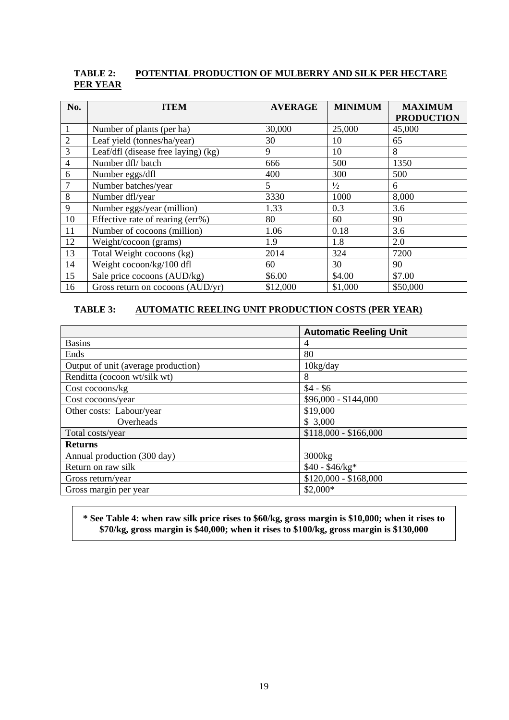#### **TABLE 2: POTENTIAL PRODUCTION OF MULBERRY AND SILK PER HECTARE PER YEAR**

| No.            | <b>ITEM</b>                         | <b>AVERAGE</b> | <b>MINIMUM</b> | <b>MAXIMUM</b>    |
|----------------|-------------------------------------|----------------|----------------|-------------------|
|                |                                     |                |                | <b>PRODUCTION</b> |
|                | Number of plants (per ha)           | 30,000         | 25,000         | 45,000            |
| $\overline{2}$ | Leaf yield (tonnes/ha/year)         | 30             | 10             | 65                |
| 3              | Leaf/dfl (disease free laying) (kg) | 9              | 10             | 8                 |
| $\overline{4}$ | Number dfl/batch                    | 666            | 500            | 1350              |
| 6              | Number eggs/dfl                     | 400            | 300            | 500               |
|                | Number batches/year                 | 5              | $\frac{1}{2}$  | 6                 |
| 8              | Number dfl/year                     | 3330           | 1000           | 8,000             |
| 9              | Number eggs/year (million)          | 1.33           | 0.3            | 3.6               |
| 10             | Effective rate of rearing (err%)    | 80             | 60             | 90                |
| 11             | Number of cocoons (million)         | 1.06           | 0.18           | 3.6               |
| 12             | Weight/cocoon (grams)               | 1.9            | 1.8            | 2.0               |
| 13             | Total Weight cocoons (kg)           | 2014           | 324            | 7200              |
| 14             | Weight cocoon/kg/100 dfl            | 60             | 30             | 90                |
| 15             | Sale price cocoons (AUD/kg)         | \$6.00         | \$4.00         | \$7.00            |
| 16             | Gross return on cocoons (AUD/yr)    | \$12,000       | \$1,000        | \$50,000          |

#### **TABLE 3: AUTOMATIC REELING UNIT PRODUCTION COSTS (PER YEAR)**

|                                     | <b>Automatic Reeling Unit</b> |
|-------------------------------------|-------------------------------|
| <b>Basins</b>                       | 4                             |
| Ends                                | 80                            |
| Output of unit (average production) | $10\text{kg/day}$             |
| Renditta (cocoon wt/silk wt)        | 8                             |
| Cost cocoons/kg                     | $$4 - $6$                     |
| Cost cocoons/year                   | \$96,000 - \$144,000          |
| Other costs: Labour/year            | \$19,000                      |
| Overheads                           | \$3,000                       |
| Total costs/year                    | $$118,000 - $166,000$         |
| <b>Returns</b>                      |                               |
| Annual production (300 day)         | 3000kg                        |
| Return on raw silk                  | $$40 - $46/kg*$               |
| Gross return/year                   | $$120,000 - $168,000$         |
| Gross margin per year               | $$2,000*$                     |

#### **\* See Table 4: when raw silk price rises to \$60/kg, gross margin is \$10,000; when it rises to \$70/kg, gross margin is \$40,000; when it rises to \$100/kg, gross margin is \$130,000**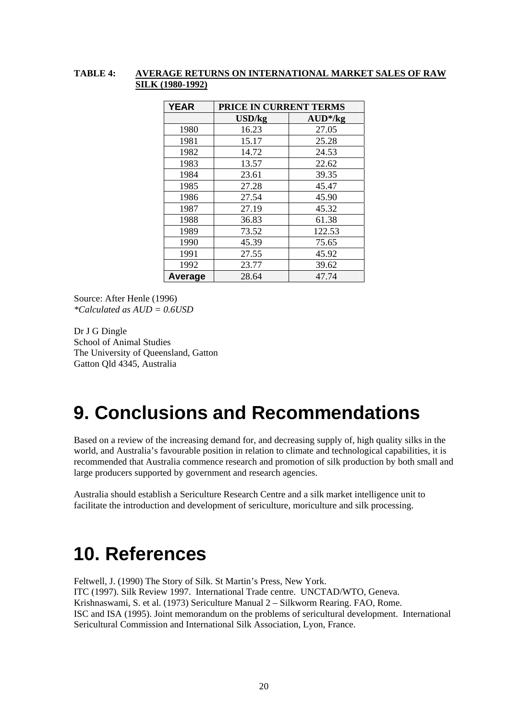#### **TABLE 4: AVERAGE RETURNS ON INTERNATIONAL MARKET SALES OF RAW SILK (1980-1992)**

| <b>YEAR</b> | PRICE IN CURRENT TERMS |            |  |
|-------------|------------------------|------------|--|
|             | USD/kg                 | $AUD^*/kg$ |  |
| 1980        | 16.23                  | 27.05      |  |
| 1981        | 15.17                  | 25.28      |  |
| 1982        | 14.72                  | 24.53      |  |
| 1983        | 13.57                  | 22.62      |  |
| 1984        | 23.61                  | 39.35      |  |
| 1985        | 27.28                  | 45.47      |  |
| 1986        | 27.54                  | 45.90      |  |
| 1987        | 27.19                  | 45.32      |  |
| 1988        | 36.83                  | 61.38      |  |
| 1989        | 73.52                  | 122.53     |  |
| 1990        | 45.39                  | 75.65      |  |
| 1991        | 27.55                  | 45.92      |  |
| 1992        | 23.77                  | 39.62      |  |
| Average     | 28.64                  | 47.74      |  |

Source: After Henle (1996) *\*Calculated as AUD = 0.6USD* 

Dr J G Dingle School of Animal Studies The University of Queensland, Gatton Gatton Qld 4345, Australia

## **9. Conclusions and Recommendations**

Based on a review of the increasing demand for, and decreasing supply of, high quality silks in the world, and Australia's favourable position in relation to climate and technological capabilities, it is recommended that Australia commence research and promotion of silk production by both small and large producers supported by government and research agencies.

Australia should establish a Sericulture Research Centre and a silk market intelligence unit to facilitate the introduction and development of sericulture, moriculture and silk processing.

# **10. References**

Feltwell, J. (1990) The Story of Silk. St Martin's Press, New York. ITC (1997). Silk Review 1997. International Trade centre. UNCTAD/WTO, Geneva. Krishnaswami, S. et al. (1973) Sericulture Manual 2 – Silkworm Rearing. FAO, Rome. ISC and ISA (1995). Joint memorandum on the problems of sericultural development. International Sericultural Commission and International Silk Association, Lyon, France.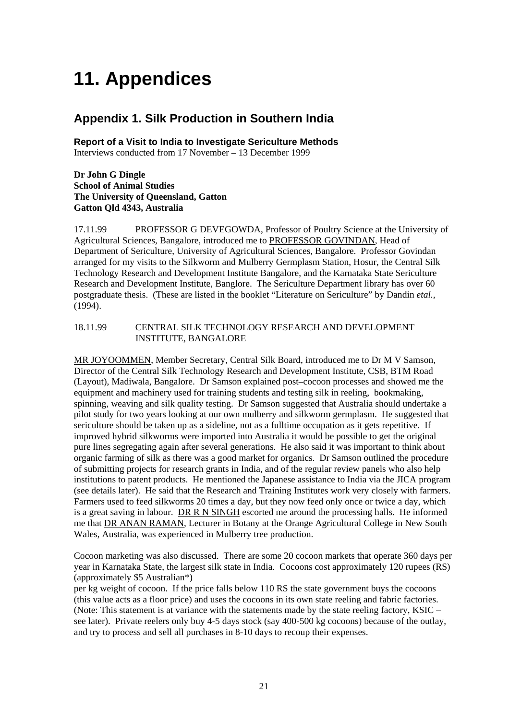# **11. Appendices**

## **Appendix 1. Silk Production in Southern India**

**Report of a Visit to India to Investigate Sericulture Methods**  Interviews conducted from 17 November – 13 December 1999

#### **Dr John G Dingle School of Animal Studies The University of Queensland, Gatton Gatton Qld 4343, Australia**

17.11.99 PROFESSOR G DEVEGOWDA, Professor of Poultry Science at the University of Agricultural Sciences, Bangalore, introduced me to PROFESSOR GOVINDAN, Head of Department of Sericulture, University of Agricultural Sciences, Bangalore. Professor Govindan arranged for my visits to the Silkworm and Mulberry Germplasm Station, Hosur, the Central Silk Technology Research and Development Institute Bangalore, and the Karnataka State Sericulture Research and Development Institute, Banglore. The Sericulture Department library has over 60 postgraduate thesis. (These are listed in the booklet "Literature on Sericulture" by Dandin *etal.,* (1994).

#### 18.11.99 CENTRAL SILK TECHNOLOGY RESEARCH AND DEVELOPMENT INSTITUTE, BANGALORE

MR JOYOOMMEN, Member Secretary, Central Silk Board, introduced me to Dr M V Samson, Director of the Central Silk Technology Research and Development Institute, CSB, BTM Road (Layout), Madiwala, Bangalore. Dr Samson explained post–cocoon processes and showed me the equipment and machinery used for training students and testing silk in reeling, bookmaking, spinning, weaving and silk quality testing. Dr Samson suggested that Australia should undertake a pilot study for two years looking at our own mulberry and silkworm germplasm. He suggested that sericulture should be taken up as a sideline, not as a fulltime occupation as it gets repetitive. If improved hybrid silkworms were imported into Australia it would be possible to get the original pure lines segregating again after several generations. He also said it was important to think about organic farming of silk as there was a good market for organics. Dr Samson outlined the procedure of submitting projects for research grants in India, and of the regular review panels who also help institutions to patent products. He mentioned the Japanese assistance to India via the JICA program (see details later). He said that the Research and Training Institutes work very closely with farmers. Farmers used to feed silkworms 20 times a day, but they now feed only once or twice a day, which is a great saving in labour. DR R N SINGH escorted me around the processing halls. He informed me that DR ANAN RAMAN, Lecturer in Botany at the Orange Agricultural College in New South Wales, Australia, was experienced in Mulberry tree production.

Cocoon marketing was also discussed. There are some 20 cocoon markets that operate 360 days per year in Karnataka State, the largest silk state in India. Cocoons cost approximately 120 rupees (RS) (approximately \$5 Australian\*)

per kg weight of cocoon. If the price falls below 110 RS the state government buys the cocoons (this value acts as a floor price) and uses the cocoons in its own state reeling and fabric factories. (Note: This statement is at variance with the statements made by the state reeling factory, KSIC – see later). Private reelers only buy 4-5 days stock (say 400-500 kg cocoons) because of the outlay, and try to process and sell all purchases in 8-10 days to recoup their expenses.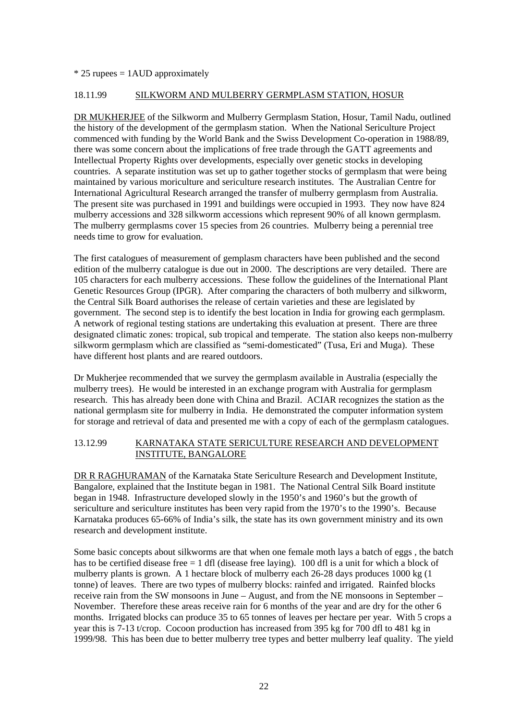#### $*$  25 rupees = 1AUD approximately

#### 18.11.99 SILKWORM AND MULBERRY GERMPLASM STATION, HOSUR

DR MUKHERJEE of the Silkworm and Mulberry Germplasm Station, Hosur, Tamil Nadu, outlined the history of the development of the germplasm station. When the National Sericulture Project commenced with funding by the World Bank and the Swiss Development Co-operation in 1988/89, there was some concern about the implications of free trade through the GATT agreements and Intellectual Property Rights over developments, especially over genetic stocks in developing countries. A separate institution was set up to gather together stocks of germplasm that were being maintained by various moriculture and sericulture research institutes. The Australian Centre for International Agricultural Research arranged the transfer of mulberry germplasm from Australia. The present site was purchased in 1991 and buildings were occupied in 1993. They now have 824 mulberry accessions and 328 silkworm accessions which represent 90% of all known germplasm. The mulberry germplasms cover 15 species from 26 countries. Mulberry being a perennial tree needs time to grow for evaluation.

The first catalogues of measurement of gemplasm characters have been published and the second edition of the mulberry catalogue is due out in 2000. The descriptions are very detailed. There are 105 characters for each mulberry accessions. These follow the guidelines of the International Plant Genetic Resources Group (IPGR). After comparing the characters of both mulberry and silkworm, the Central Silk Board authorises the release of certain varieties and these are legislated by government. The second step is to identify the best location in India for growing each germplasm. A network of regional testing stations are undertaking this evaluation at present. There are three designated climatic zones: tropical, sub tropical and temperate. The station also keeps non-mulberry silkworm germplasm which are classified as "semi-domesticated" (Tusa, Eri and Muga). These have different host plants and are reared outdoors.

Dr Mukherjee recommended that we survey the germplasm available in Australia (especially the mulberry trees). He would be interested in an exchange program with Australia for germplasm research. This has already been done with China and Brazil. ACIAR recognizes the station as the national germplasm site for mulberry in India. He demonstrated the computer information system for storage and retrieval of data and presented me with a copy of each of the germplasm catalogues.

#### 13.12.99 KARNATAKA STATE SERICULTURE RESEARCH AND DEVELOPMENT INSTITUTE, BANGALORE

DR R RAGHURAMAN of the Karnataka State Sericulture Research and Development Institute, Bangalore, explained that the Institute began in 1981. The National Central Silk Board institute began in 1948. Infrastructure developed slowly in the 1950's and 1960's but the growth of sericulture and sericulture institutes has been very rapid from the 1970's to the 1990's. Because Karnataka produces 65-66% of India's silk, the state has its own government ministry and its own research and development institute.

Some basic concepts about silkworms are that when one female moth lays a batch of eggs , the batch has to be certified disease free = 1 dfl (disease free laying). 100 dfl is a unit for which a block of mulberry plants is grown. A 1 hectare block of mulberry each 26-28 days produces 1000 kg (1 tonne) of leaves. There are two types of mulberry blocks: rainfed and irrigated. Rainfed blocks receive rain from the SW monsoons in June – August, and from the NE monsoons in September – November. Therefore these areas receive rain for 6 months of the year and are dry for the other 6 months. Irrigated blocks can produce 35 to 65 tonnes of leaves per hectare per year. With 5 crops a year this is 7-13 t/crop. Cocoon production has increased from 395 kg for 700 dfl to 481 kg in 1999/98. This has been due to better mulberry tree types and better mulberry leaf quality. The yield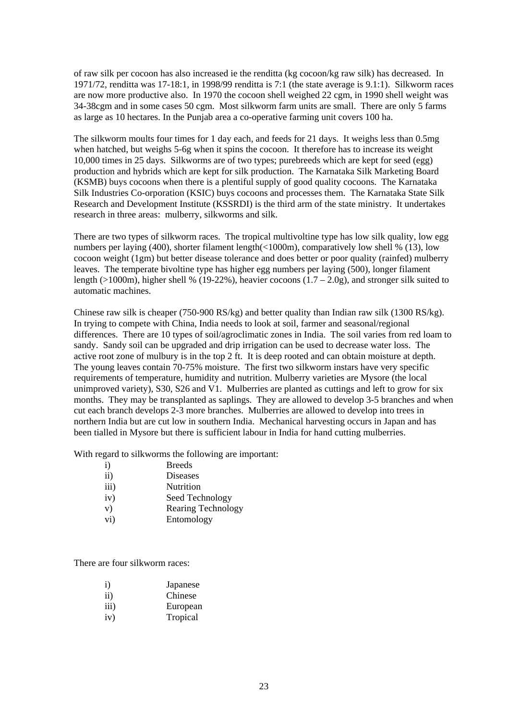of raw silk per cocoon has also increased ie the renditta (kg cocoon/kg raw silk) has decreased. In 1971/72, renditta was 17-18:1, in 1998/99 renditta is 7:1 (the state average is 9.1:1). Silkworm races are now more productive also. In 1970 the cocoon shell weighed 22 cgm, in 1990 shell weight was 34-38cgm and in some cases 50 cgm. Most silkworm farm units are small. There are only 5 farms as large as 10 hectares. In the Punjab area a co-operative farming unit covers 100 ha.

The silkworm moults four times for 1 day each, and feeds for 21 days. It weighs less than 0.5mg when hatched, but weighs 5-6g when it spins the cocoon. It therefore has to increase its weight 10,000 times in 25 days. Silkworms are of two types; purebreeds which are kept for seed (egg) production and hybrids which are kept for silk production. The Karnataka Silk Marketing Board (KSMB) buys cocoons when there is a plentiful supply of good quality cocoons. The Karnataka Silk Industries Co-orporation (KSIC) buys cocoons and processes them. The Karnataka State Silk Research and Development Institute (KSSRDI) is the third arm of the state ministry. It undertakes research in three areas: mulberry, silkworms and silk.

There are two types of silkworm races. The tropical multivoltine type has low silk quality, low egg numbers per laying (400), shorter filament length(<1000m), comparatively low shell % (13), low cocoon weight (1gm) but better disease tolerance and does better or poor quality (rainfed) mulberry leaves. The temperate bivoltine type has higher egg numbers per laying (500), longer filament length (>1000m), higher shell % (19-22%), heavier cocoons  $(1.7 - 2.0g)$ , and stronger silk suited to automatic machines.

Chinese raw silk is cheaper (750-900 RS/kg) and better quality than Indian raw silk (1300 RS/kg). In trying to compete with China, India needs to look at soil, farmer and seasonal/regional differences. There are 10 types of soil/agroclimatic zones in India. The soil varies from red loam to sandy. Sandy soil can be upgraded and drip irrigation can be used to decrease water loss. The active root zone of mulbury is in the top 2 ft. It is deep rooted and can obtain moisture at depth. The young leaves contain 70-75% moisture. The first two silkworm instars have very specific requirements of temperature, humidity and nutrition. Mulberry varieties are Mysore (the local unimproved variety), S30, S26 and V1. Mulberries are planted as cuttings and left to grow for six months. They may be transplanted as saplings. They are allowed to develop 3-5 branches and when cut each branch develops 2-3 more branches. Mulberries are allowed to develop into trees in northern India but are cut low in southern India. Mechanical harvesting occurs in Japan and has been tialled in Mysore but there is sufficient labour in India for hand cutting mulberries.

With regard to silkworms the following are important:

| $\mathbf{i}$      | <b>Breeds</b>             |
|-------------------|---------------------------|
| $\rm ii)$         | Diseases                  |
| iii)              | Nutrition                 |
| iv)               | Seed Technology           |
| V)                | <b>Rearing Technology</b> |
| $\overline{vi}$ ) | Entomology                |

There are four silkworm races:

| $\rm i)$ | Japanese |
|----------|----------|
| ii)      | Chinese  |
| iii)     | European |
| iv)      | Tropical |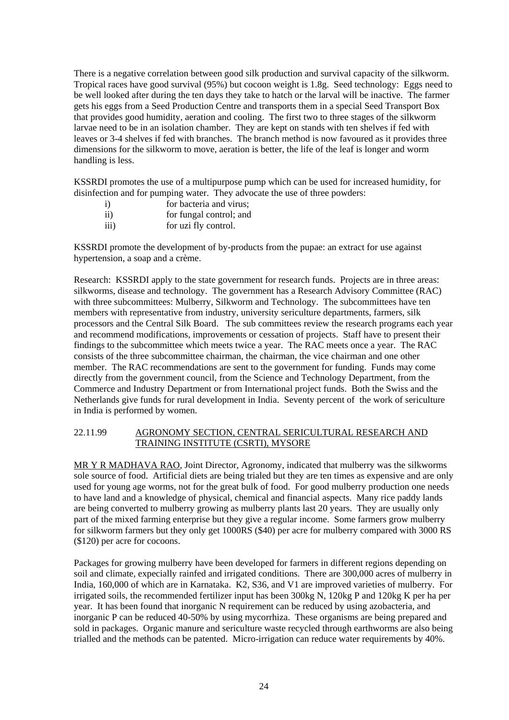There is a negative correlation between good silk production and survival capacity of the silkworm. Tropical races have good survival (95%) but cocoon weight is 1.8g. Seed technology: Eggs need to be well looked after during the ten days they take to hatch or the larval will be inactive. The farmer gets his eggs from a Seed Production Centre and transports them in a special Seed Transport Box that provides good humidity, aeration and cooling. The first two to three stages of the silkworm larvae need to be in an isolation chamber. They are kept on stands with ten shelves if fed with leaves or 3-4 shelves if fed with branches. The branch method is now favoured as it provides three dimensions for the silkworm to move, aeration is better, the life of the leaf is longer and worm handling is less.

KSSRDI promotes the use of a multipurpose pump which can be used for increased humidity, for disinfection and for pumping water. They advocate the use of three powders:

- i) for bacteria and virus: ii) for fungal control; and
- 
- iii) for uzi fly control.

KSSRDI promote the development of by-products from the pupae: an extract for use against hypertension, a soap and a crème.

Research: KSSRDI apply to the state government for research funds. Projects are in three areas: silkworms, disease and technology. The government has a Research Advisory Committee (RAC) with three subcommittees: Mulberry, Silkworm and Technology. The subcommittees have ten members with representative from industry, university sericulture departments, farmers, silk processors and the Central Silk Board. The sub committees review the research programs each year and recommend modifications, improvements or cessation of projects. Staff have to present their findings to the subcommittee which meets twice a year. The RAC meets once a year. The RAC consists of the three subcommittee chairman, the chairman, the vice chairman and one other member. The RAC recommendations are sent to the government for funding. Funds may come directly from the government council, from the Science and Technology Department, from the Commerce and Industry Department or from International project funds. Both the Swiss and the Netherlands give funds for rural development in India. Seventy percent of the work of sericulture in India is performed by women.

#### 22.11.99 AGRONOMY SECTION, CENTRAL SERICULTURAL RESEARCH AND TRAINING INSTITUTE (CSRTI), MYSORE

MR Y R MADHAVA RAO, Joint Director, Agronomy, indicated that mulberry was the silkworms sole source of food. Artificial diets are being trialed but they are ten times as expensive and are only used for young age worms, not for the great bulk of food. For good mulberry production one needs to have land and a knowledge of physical, chemical and financial aspects. Many rice paddy lands are being converted to mulberry growing as mulberry plants last 20 years. They are usually only part of the mixed farming enterprise but they give a regular income. Some farmers grow mulberry for silkworm farmers but they only get 1000RS (\$40) per acre for mulberry compared with 3000 RS (\$120) per acre for cocoons.

Packages for growing mulberry have been developed for farmers in different regions depending on soil and climate, expecially rainfed and irrigated conditions. There are 300,000 acres of mulberry in India, 160,000 of which are in Karnataka. K2, S36, and V1 are improved varieties of mulberry. For irrigated soils, the recommended fertilizer input has been 300kg N, 120kg P and 120kg K per ha per year. It has been found that inorganic N requirement can be reduced by using azobacteria, and inorganic P can be reduced 40-50% by using mycorrhiza. These organisms are being prepared and sold in packages. Organic manure and sericulture waste recycled through earthworms are also being trialled and the methods can be patented. Micro-irrigation can reduce water requirements by 40%.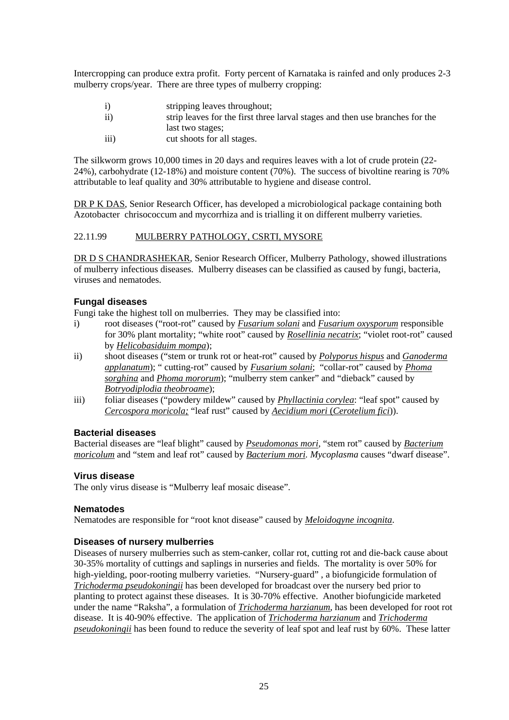Intercropping can produce extra profit. Forty percent of Karnataka is rainfed and only produces 2-3 mulberry crops/year. There are three types of mulberry cropping:

- i) stripping leaves throughout;
- ii) strip leaves for the first three larval stages and then use branches for the last two stages;
- iii) cut shoots for all stages.

The silkworm grows 10,000 times in 20 days and requires leaves with a lot of crude protein (22- 24%), carbohydrate (12-18%) and moisture content (70%). The success of bivoltine rearing is 70% attributable to leaf quality and 30% attributable to hygiene and disease control.

DR P K DAS, Senior Research Officer, has developed a microbiological package containing both Azotobacter chrisococcum and mycorrhiza and is trialling it on different mulberry varieties.

#### 22.11.99 MULBERRY PATHOLOGY, CSRTI, MYSORE

DR D S CHANDRASHEKAR, Senior Research Officer, Mulberry Pathology, showed illustrations of mulberry infectious diseases. Mulberry diseases can be classified as caused by fungi, bacteria, viruses and nematodes.

#### **Fungal diseases**

Fungi take the highest toll on mulberries. They may be classified into:

- i) root diseases ("root-rot" caused by *Fusarium solani* and *Fusarium oxysporum* responsible for 30% plant mortality; "white root" caused by *Rosellinia necatrix*; "violet root-rot" caused by *Helicobasiduim mompa*);
- ii) shoot diseases ("stem or trunk rot or heat-rot" caused by *Polyporus hispus* and *Ganoderma applanatum*); " cutting-rot" caused by *Fusarium solani*; "collar-rot" caused by *Phoma sorghina* and *Phoma mororum*); "mulberry stem canker" and "dieback" caused by *Botryodiplodia theobroame*);
- iii) foliar diseases ("powdery mildew" caused by *Phyllactinia corylea*: "leaf spot" caused by *Cercospora moricola;* "leaf rust" caused by *Aecidium mori* (*Cerotelium fici*)).

#### **Bacterial diseases**

Bacterial diseases are "leaf blight" caused by *Pseudomonas mori*, "stem rot" caused by *Bacterium moricolum* and "stem and leaf rot" caused by *Bacterium mori. Mycoplasma* causes "dwarf disease".

#### **Virus disease**

The only virus disease is "Mulberry leaf mosaic disease".

#### **Nematodes**

Nematodes are responsible for "root knot disease" caused by *Meloidogyne incognita*.

#### **Diseases of nursery mulberries**

Diseases of nursery mulberries such as stem-canker, collar rot, cutting rot and die-back cause about 30-35% mortality of cuttings and saplings in nurseries and fields. The mortality is over 50% for high-yielding, poor-rooting mulberry varieties. "Nursery-guard" , a biofungicide formulation of *Trichoderma pseudokoningii* has been developed for broadcast over the nursery bed prior to planting to protect against these diseases. It is 30-70% effective. Another biofungicide marketed under the name "Raksha", a formulation of *Trichoderma harzianum*, has been developed for root rot disease. It is 40-90% effective. The application of *Trichoderma harzianum* and *Trichoderma pseudokoningii* has been found to reduce the severity of leaf spot and leaf rust by 60%. These latter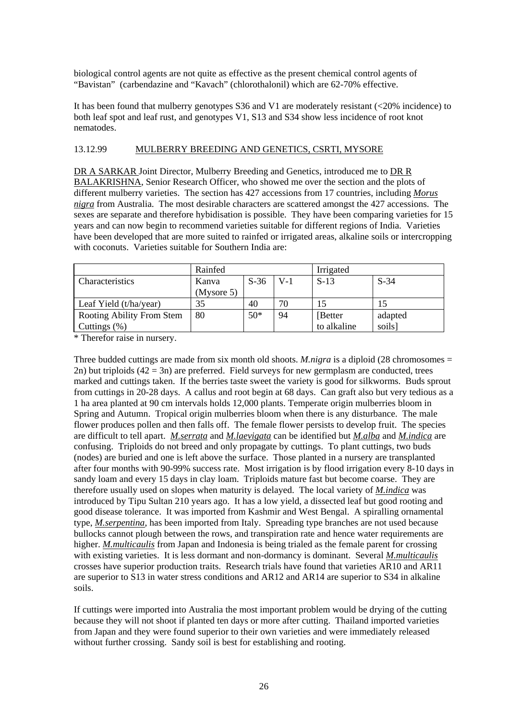biological control agents are not quite as effective as the present chemical control agents of "Bavistan" (carbendazine and "Kavach" (chlorothalonil) which are 62-70% effective.

It has been found that mulberry genotypes S36 and V1 are moderately resistant (<20% incidence) to both leaf spot and leaf rust, and genotypes V1, S13 and S34 show less incidence of root knot nematodes.

#### 13.12.99 MULBERRY BREEDING AND GENETICS, CSRTI, MYSORE

DR A SARKAR Joint Director, Mulberry Breeding and Genetics, introduced me to DR R BALAKRISHNA, Senior Research Officer, who showed me over the section and the plots of different mulberry varieties. The section has 427 accessions from 17 countries, including *Morus nigra* from Australia. The most desirable characters are scattered amongst the 427 accessions. The sexes are separate and therefore hybidisation is possible. They have been comparing varieties for 15 years and can now begin to recommend varieties suitable for different regions of India. Varieties have been developed that are more suited to rainfed or irrigated areas, alkaline soils or intercropping with coconuts. Varieties suitable for Southern India are:

|                           | Rainfed    |        |       | Irrigated   |         |
|---------------------------|------------|--------|-------|-------------|---------|
| Characteristics           | Kanva      | $S-36$ | $V-1$ | $S-13$      | $S-34$  |
|                           | (Mysore 5) |        |       |             |         |
| Leaf Yield (t/ha/year)    | 35         | 40     | 70    | 15          | 15      |
| Rooting Ability From Stem | 80         | $50*$  | 94    | [Better]    | adapted |
| Cuttings $(\%)$           |            |        |       | to alkaline | soils]  |

\* Therefor raise in nursery.

Three budded cuttings are made from six month old shoots. *M.nigra* is a diploid (28 chromosomes = 2n) but triploids  $(42 = 3n)$  are preferred. Field surveys for new germplasm are conducted, trees marked and cuttings taken. If the berries taste sweet the variety is good for silkworms. Buds sprout from cuttings in 20-28 days. A callus and root begin at 68 days. Can graft also but very tedious as a 1 ha area planted at 90 cm intervals holds 12,000 plants. Temperate origin mulberries bloom in Spring and Autumn. Tropical origin mulberries bloom when there is any disturbance. The male flower produces pollen and then falls off. The female flower persists to develop fruit. The species are difficult to tell apart. *M.serrata* and *M.laevigata* can be identified but *M.alba* and *M.indica* are confusing. Triploids do not breed and only propagate by cuttings. To plant cuttings, two buds (nodes) are buried and one is left above the surface. Those planted in a nursery are transplanted after four months with 90-99% success rate. Most irrigation is by flood irrigation every 8-10 days in sandy loam and every 15 days in clay loam. Triploids mature fast but become coarse. They are therefore usually used on slopes when maturity is delayed. The local variety of *M.indica* was introduced by Tipu Sultan 210 years ago. It has a low yield, a dissected leaf but good rooting and good disease tolerance. It was imported from Kashmir and West Bengal. A spiralling ornamental type, *M.serpentina*, has been imported from Italy. Spreading type branches are not used because bullocks cannot plough between the rows, and transpiration rate and hence water requirements are higher. *M.multicaulis* from Japan and Indonesia is being trialed as the female parent for crossing with existing varieties. It is less dormant and non-dormancy is dominant. Several *M.multicaulis* crosses have superior production traits. Research trials have found that varieties AR10 and AR11 are superior to S13 in water stress conditions and AR12 and AR14 are superior to S34 in alkaline soils.

If cuttings were imported into Australia the most important problem would be drying of the cutting because they will not shoot if planted ten days or more after cutting. Thailand imported varieties from Japan and they were found superior to their own varieties and were immediately released without further crossing. Sandy soil is best for establishing and rooting.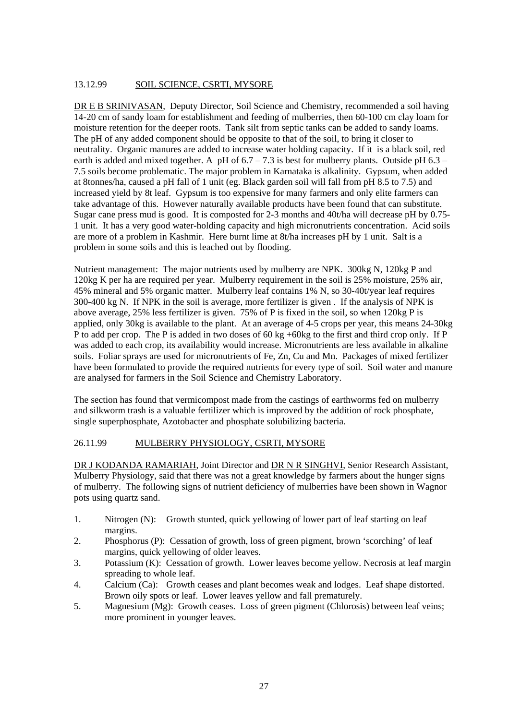#### 13.12.99 SOIL SCIENCE, CSRTI, MYSORE

DR E B SRINIVASAN, Deputy Director, Soil Science and Chemistry, recommended a soil having 14-20 cm of sandy loam for establishment and feeding of mulberries, then 60-100 cm clay loam for moisture retention for the deeper roots. Tank silt from septic tanks can be added to sandy loams. The pH of any added component should be opposite to that of the soil, to bring it closer to neutrality. Organic manures are added to increase water holding capacity. If it is a black soil, red earth is added and mixed together. A pH of  $6.7 - 7.3$  is best for mulberry plants. Outside pH  $6.3 -$ 7.5 soils become problematic. The major problem in Karnataka is alkalinity. Gypsum, when added at 8tonnes/ha, caused a pH fall of 1 unit (eg. Black garden soil will fall from pH 8.5 to 7.5) and increased yield by 8t leaf. Gypsum is too expensive for many farmers and only elite farmers can take advantage of this. However naturally available products have been found that can substitute. Sugar cane press mud is good. It is composted for 2-3 months and 40t/ha will decrease pH by 0.75- 1 unit. It has a very good water-holding capacity and high micronutrients concentration. Acid soils are more of a problem in Kashmir. Here burnt lime at 8t/ha increases pH by 1 unit. Salt is a problem in some soils and this is leached out by flooding.

Nutrient management: The major nutrients used by mulberry are NPK. 300kg N, 120kg P and 120kg K per ha are required per year. Mulberry requirement in the soil is 25% moisture, 25% air, 45% mineral and 5% organic matter. Mulberry leaf contains 1% N, so 30-40t/year leaf requires 300-400 kg N. If NPK in the soil is average, more fertilizer is given . If the analysis of NPK is above average, 25% less fertilizer is given. 75% of P is fixed in the soil, so when 120kg P is applied, only 30kg is available to the plant. At an average of 4-5 crops per year, this means 24-30kg P to add per crop. The P is added in two doses of 60 kg +60kg to the first and third crop only. If P was added to each crop, its availability would increase. Micronutrients are less available in alkaline soils. Foliar sprays are used for micronutrients of Fe, Zn, Cu and Mn. Packages of mixed fertilizer have been formulated to provide the required nutrients for every type of soil. Soil water and manure are analysed for farmers in the Soil Science and Chemistry Laboratory.

The section has found that vermicompost made from the castings of earthworms fed on mulberry and silkworm trash is a valuable fertilizer which is improved by the addition of rock phosphate, single superphosphate, Azotobacter and phosphate solubilizing bacteria.

#### 26.11.99 MULBERRY PHYSIOLOGY, CSRTI, MYSORE

DR J KODANDA RAMARIAH, Joint Director and DR N R SINGHVI, Senior Research Assistant, Mulberry Physiology, said that there was not a great knowledge by farmers about the hunger signs of mulberry. The following signs of nutrient deficiency of mulberries have been shown in Wagnor pots using quartz sand.

- 1. Nitrogen (N): Growth stunted, quick yellowing of lower part of leaf starting on leaf margins.
- 2. Phosphorus (P): Cessation of growth, loss of green pigment, brown 'scorching' of leaf margins, quick yellowing of older leaves.
- 3. Potassium (K): Cessation of growth. Lower leaves become yellow. Necrosis at leaf margin spreading to whole leaf.
- 4. Calcium (Ca): Growth ceases and plant becomes weak and lodges. Leaf shape distorted. Brown oily spots or leaf. Lower leaves yellow and fall prematurely.
- 5. Magnesium (Mg): Growth ceases. Loss of green pigment (Chlorosis) between leaf veins; more prominent in younger leaves.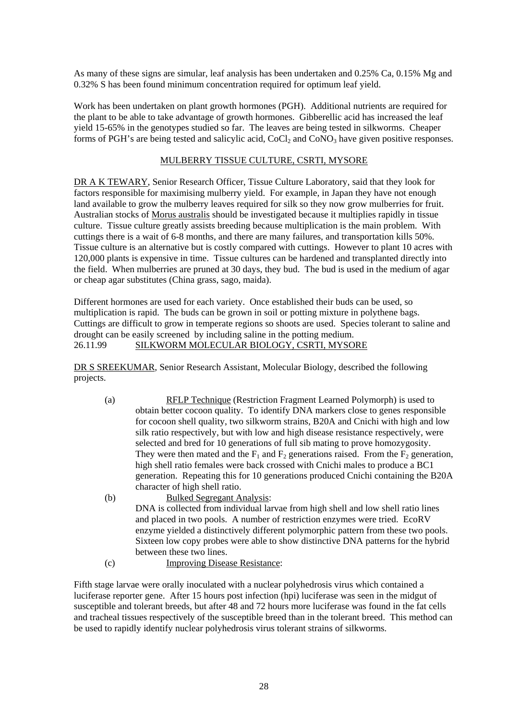As many of these signs are simular, leaf analysis has been undertaken and 0.25% Ca, 0.15% Mg and 0.32% S has been found minimum concentration required for optimum leaf yield.

Work has been undertaken on plant growth hormones (PGH). Additional nutrients are required for the plant to be able to take advantage of growth hormones. Gibberellic acid has increased the leaf yield 15-65% in the genotypes studied so far. The leaves are being tested in silkworms. Cheaper forms of PGH's are being tested and salicylic acid,  $CoCl<sub>2</sub>$  and  $CoNO<sub>3</sub>$  have given positive responses.

#### MULBERRY TISSUE CULTURE, CSRTI, MYSORE

DR A K TEWARY, Senior Research Officer, Tissue Culture Laboratory, said that they look for factors responsible for maximising mulberry yield. For example, in Japan they have not enough land available to grow the mulberry leaves required for silk so they now grow mulberries for fruit. Australian stocks of Morus australis should be investigated because it multiplies rapidly in tissue culture. Tissue culture greatly assists breeding because multiplication is the main problem. With cuttings there is a wait of 6-8 months, and there are many failures, and transportation kills 50%. Tissue culture is an alternative but is costly compared with cuttings. However to plant 10 acres with 120,000 plants is expensive in time. Tissue cultures can be hardened and transplanted directly into the field. When mulberries are pruned at 30 days, they bud. The bud is used in the medium of agar or cheap agar substitutes (China grass, sago, maida).

Different hormones are used for each variety. Once established their buds can be used, so multiplication is rapid. The buds can be grown in soil or potting mixture in polythene bags. Cuttings are difficult to grow in temperate regions so shoots are used. Species tolerant to saline and drought can be easily screened by including saline in the potting medium. 26.11.99 SILKWORM MOLECULAR BIOLOGY, CSRTI, MYSORE

DR S SREEKUMAR, Senior Research Assistant, Molecular Biology, described the following projects.

- (a) RFLP Technique (Restriction Fragment Learned Polymorph) is used to obtain better cocoon quality. To identify DNA markers close to genes responsible for cocoon shell quality, two silkworm strains, B20A and Cnichi with high and low silk ratio respectively, but with low and high disease resistance respectively, were selected and bred for 10 generations of full sib mating to prove homozygosity. They were then mated and the  $F_1$  and  $F_2$  generations raised. From the  $F_2$  generation, high shell ratio females were back crossed with Cnichi males to produce a BC1 generation. Repeating this for 10 generations produced Cnichi containing the B20A character of high shell ratio.
- (b) Bulked Segregant Analysis: DNA is collected from individual larvae from high shell and low shell ratio lines and placed in two pools. A number of restriction enzymes were tried. EcoRV enzyme yielded a distinctively different polymorphic pattern from these two pools. Sixteen low copy probes were able to show distinctive DNA patterns for the hybrid between these two lines.
- (c) Improving Disease Resistance:

Fifth stage larvae were orally inoculated with a nuclear polyhedrosis virus which contained a luciferase reporter gene. After 15 hours post infection (hpi) luciferase was seen in the midgut of susceptible and tolerant breeds, but after 48 and 72 hours more luciferase was found in the fat cells and tracheal tissues respectively of the susceptible breed than in the tolerant breed. This method can be used to rapidly identify nuclear polyhedrosis virus tolerant strains of silkworms.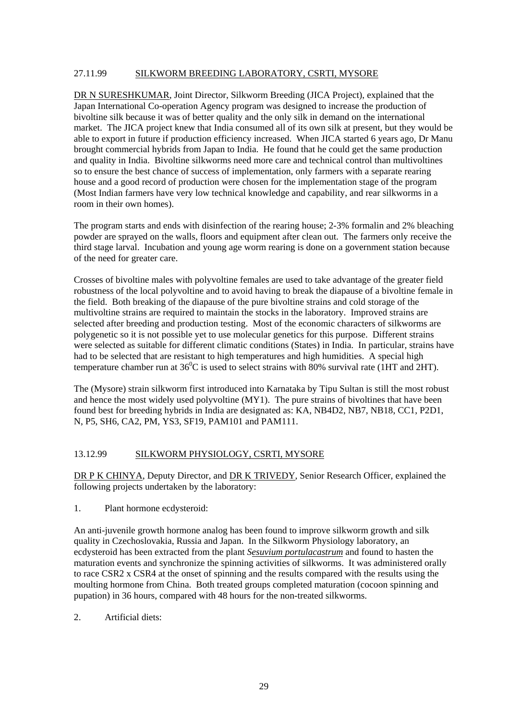#### 27.11.99 SILKWORM BREEDING LABORATORY, CSRTI, MYSORE

DR N SURESHKUMAR, Joint Director, Silkworm Breeding (JICA Project), explained that the Japan International Co-operation Agency program was designed to increase the production of bivoltine silk because it was of better quality and the only silk in demand on the international market. The JICA project knew that India consumed all of its own silk at present, but they would be able to export in future if production efficiency increased. When JICA started 6 years ago, Dr Manu brought commercial hybrids from Japan to India. He found that he could get the same production and quality in India. Bivoltine silkworms need more care and technical control than multivoltines so to ensure the best chance of success of implementation, only farmers with a separate rearing house and a good record of production were chosen for the implementation stage of the program (Most Indian farmers have very low technical knowledge and capability, and rear silkworms in a room in their own homes).

The program starts and ends with disinfection of the rearing house; 2-3% formalin and 2% bleaching powder are sprayed on the walls, floors and equipment after clean out. The farmers only receive the third stage larval. Incubation and young age worm rearing is done on a government station because of the need for greater care.

Crosses of bivoltine males with polyvoltine females are used to take advantage of the greater field robustness of the local polyvoltine and to avoid having to break the diapause of a bivoltine female in the field. Both breaking of the diapause of the pure bivoltine strains and cold storage of the multivoltine strains are required to maintain the stocks in the laboratory. Improved strains are selected after breeding and production testing. Most of the economic characters of silkworms are polygenetic so it is not possible yet to use molecular genetics for this purpose. Different strains were selected as suitable for different climatic conditions (States) in India. In particular, strains have had to be selected that are resistant to high temperatures and high humidities. A special high temperature chamber run at  $36^{\circ}$ C is used to select strains with 80% survival rate (1HT and 2HT).

The (Mysore) strain silkworm first introduced into Karnataka by Tipu Sultan is still the most robust and hence the most widely used polyvoltine (MY1). The pure strains of bivoltines that have been found best for breeding hybrids in India are designated as: KA, NB4D2, NB7, NB18, CC1, P2D1, N, P5, SH6, CA2, PM, YS3, SF19, PAM101 and PAM111.

#### 13.12.99 SILKWORM PHYSIOLOGY, CSRTI, MYSORE

DR P K CHINYA, Deputy Director, and DR K TRIVEDY, Senior Research Officer, explained the following projects undertaken by the laboratory:

1. Plant hormone ecdysteroid:

An anti-juvenile growth hormone analog has been found to improve silkworm growth and silk quality in Czechoslovakia, Russia and Japan. In the Silkworm Physiology laboratory, an ecdysteroid has been extracted from the plant *Sesuvium portulacastrum* and found to hasten the maturation events and synchronize the spinning activities of silkworms. It was administered orally to race CSR2 x CSR4 at the onset of spinning and the results compared with the results using the moulting hormone from China. Both treated groups completed maturation (cocoon spinning and pupation) in 36 hours, compared with 48 hours for the non-treated silkworms.

2. Artificial diets: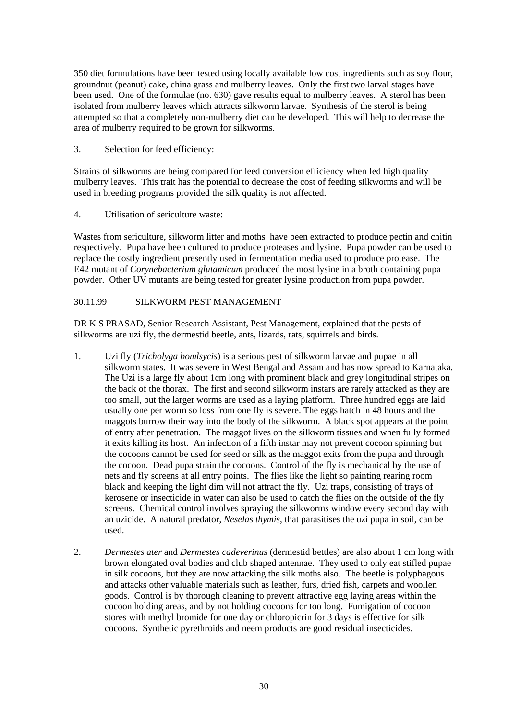350 diet formulations have been tested using locally available low cost ingredients such as soy flour, groundnut (peanut) cake, china grass and mulberry leaves. Only the first two larval stages have been used. One of the formulae (no. 630) gave results equal to mulberry leaves. A sterol has been isolated from mulberry leaves which attracts silkworm larvae. Synthesis of the sterol is being attempted so that a completely non-mulberry diet can be developed. This will help to decrease the area of mulberry required to be grown for silkworms.

#### 3. Selection for feed efficiency:

Strains of silkworms are being compared for feed conversion efficiency when fed high quality mulberry leaves. This trait has the potential to decrease the cost of feeding silkworms and will be used in breeding programs provided the silk quality is not affected.

4. Utilisation of sericulture waste:

Wastes from sericulture, silkworm litter and moths have been extracted to produce pectin and chitin respectively. Pupa have been cultured to produce proteases and lysine. Pupa powder can be used to replace the costly ingredient presently used in fermentation media used to produce protease. The E42 mutant of *Corynebacterium glutamicum* produced the most lysine in a broth containing pupa powder. Other UV mutants are being tested for greater lysine production from pupa powder.

#### 30.11.99 SILKWORM PEST MANAGEMENT

DR K S PRASAD, Senior Research Assistant, Pest Management, explained that the pests of silkworms are uzi fly, the dermestid beetle, ants, lizards, rats, squirrels and birds.

- 1. Uzi fly (*Tricholyga bomlsycis*) is a serious pest of silkworm larvae and pupae in all silkworm states. It was severe in West Bengal and Assam and has now spread to Karnataka. The Uzi is a large fly about 1cm long with prominent black and grey longitudinal stripes on the back of the thorax. The first and second silkworm instars are rarely attacked as they are too small, but the larger worms are used as a laying platform. Three hundred eggs are laid usually one per worm so loss from one fly is severe. The eggs hatch in 48 hours and the maggots burrow their way into the body of the silkworm. A black spot appears at the point of entry after penetration. The maggot lives on the silkworm tissues and when fully formed it exits killing its host. An infection of a fifth instar may not prevent cocoon spinning but the cocoons cannot be used for seed or silk as the maggot exits from the pupa and through the cocoon. Dead pupa strain the cocoons. Control of the fly is mechanical by the use of nets and fly screens at all entry points. The flies like the light so painting rearing room black and keeping the light dim will not attract the fly. Uzi traps, consisting of trays of kerosene or insecticide in water can also be used to catch the flies on the outside of the fly screens. Chemical control involves spraying the silkworms window every second day with an uzicide. A natural predator, *Neselas thymis*, that parasitises the uzi pupa in soil, can be used.
- 2. *Dermestes ater* and *Dermestes cadeverinus* (dermestid bettles) are also about 1 cm long with brown elongated oval bodies and club shaped antennae. They used to only eat stifled pupae in silk cocoons, but they are now attacking the silk moths also. The beetle is polyphagous and attacks other valuable materials such as leather, furs, dried fish, carpets and woollen goods. Control is by thorough cleaning to prevent attractive egg laying areas within the cocoon holding areas, and by not holding cocoons for too long. Fumigation of cocoon stores with methyl bromide for one day or chloropicrin for 3 days is effective for silk cocoons. Synthetic pyrethroids and neem products are good residual insecticides.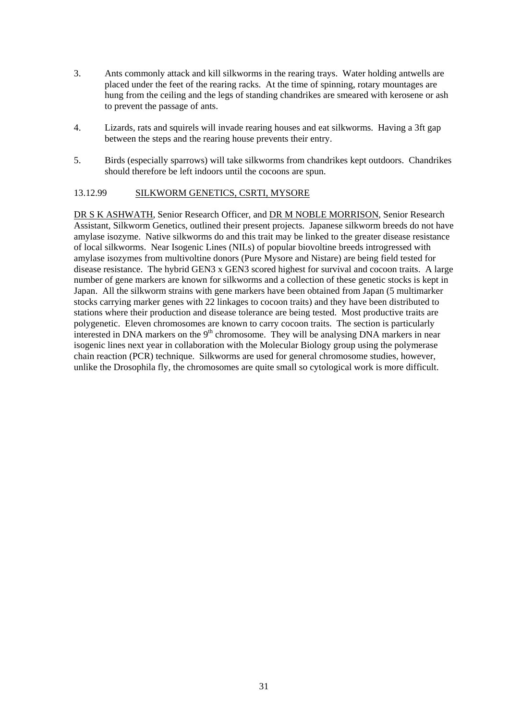- 3. Ants commonly attack and kill silkworms in the rearing trays. Water holding antwells are placed under the feet of the rearing racks. At the time of spinning, rotary mountages are hung from the ceiling and the legs of standing chandrikes are smeared with kerosene or ash to prevent the passage of ants.
- 4. Lizards, rats and squirels will invade rearing houses and eat silkworms. Having a 3ft gap between the steps and the rearing house prevents their entry.
- 5. Birds (especially sparrows) will take silkworms from chandrikes kept outdoors. Chandrikes should therefore be left indoors until the cocoons are spun.

#### 13.12.99 SILKWORM GENETICS, CSRTI, MYSORE

DR S K ASHWATH, Senior Research Officer, and DR M NOBLE MORRISON, Senior Research Assistant, Silkworm Genetics, outlined their present projects. Japanese silkworm breeds do not have amylase isozyme. Native silkworms do and this trait may be linked to the greater disease resistance of local silkworms. Near Isogenic Lines (NILs) of popular biovoltine breeds introgressed with amylase isozymes from multivoltine donors (Pure Mysore and Nistare) are being field tested for disease resistance. The hybrid GEN3 x GEN3 scored highest for survival and cocoon traits. A large number of gene markers are known for silkworms and a collection of these genetic stocks is kept in Japan. All the silkworm strains with gene markers have been obtained from Japan (5 multimarker stocks carrying marker genes with 22 linkages to cocoon traits) and they have been distributed to stations where their production and disease tolerance are being tested. Most productive traits are polygenetic. Eleven chromosomes are known to carry cocoon traits. The section is particularly interested in DNA markers on the  $9<sup>th</sup>$  chromosome. They will be analysing DNA markers in near isogenic lines next year in collaboration with the Molecular Biology group using the polymerase chain reaction (PCR) technique. Silkworms are used for general chromosome studies, however, unlike the Drosophila fly, the chromosomes are quite small so cytological work is more difficult.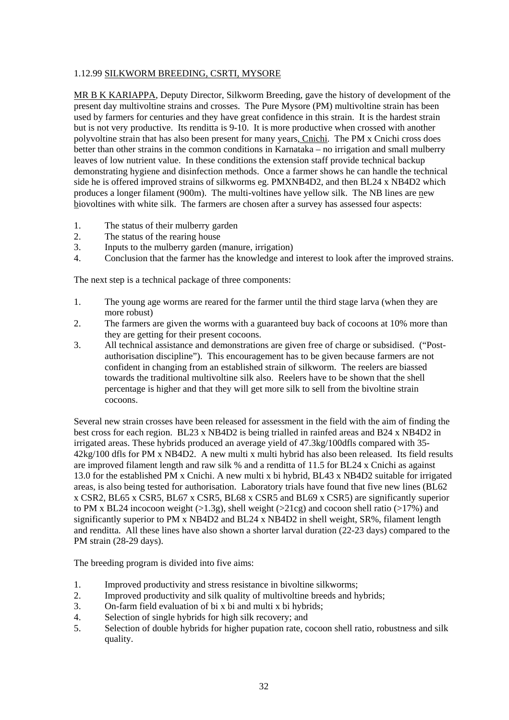#### 1.12.99 SILKWORM BREEDING, CSRTI, MYSORE

MR B K KARIAPPA, Deputy Director, Silkworm Breeding, gave the history of development of the present day multivoltine strains and crosses. The Pure Mysore (PM) multivoltine strain has been used by farmers for centuries and they have great confidence in this strain. It is the hardest strain but is not very productive. Its renditta is 9-10. It is more productive when crossed with another polyvoltine strain that has also been present for many years, Cnichi. The PM x Cnichi cross does better than other strains in the common conditions in Karnataka – no irrigation and small mulberry leaves of low nutrient value. In these conditions the extension staff provide technical backup demonstrating hygiene and disinfection methods. Once a farmer shows he can handle the technical side he is offered improved strains of silkworms eg. PMXNB4D2, and then BL24 x NB4D2 which produces a longer filament (900m). The multi-voltines have yellow silk. The NB lines are new biovoltines with white silk. The farmers are chosen after a survey has assessed four aspects:

- 1. The status of their mulberry garden
- 2. The status of the rearing house
- 3. Inputs to the mulberry garden (manure, irrigation)
- 4. Conclusion that the farmer has the knowledge and interest to look after the improved strains.

The next step is a technical package of three components:

- 1. The young age worms are reared for the farmer until the third stage larva (when they are more robust)
- 2. The farmers are given the worms with a guaranteed buy back of cocoons at 10% more than they are getting for their present cocoons.
- 3. All technical assistance and demonstrations are given free of charge or subsidised. ("Postauthorisation discipline"). This encouragement has to be given because farmers are not confident in changing from an established strain of silkworm. The reelers are biassed towards the traditional multivoltine silk also. Reelers have to be shown that the shell percentage is higher and that they will get more silk to sell from the bivoltine strain cocoons.

Several new strain crosses have been released for assessment in the field with the aim of finding the best cross for each region. BL23 x NB4D2 is being trialled in rainfed areas and B24 x NB4D2 in irrigated areas. These hybrids produced an average yield of 47.3kg/100dfls compared with 35- 42kg/100 dfls for PM x NB4D2. A new multi x multi hybrid has also been released. Its field results are improved filament length and raw silk % and a renditta of 11.5 for BL24 x Cnichi as against 13.0 for the established PM x Cnichi. A new multi x bi hybrid, BL43 x NB4D2 suitable for irrigated areas, is also being tested for authorisation. Laboratory trials have found that five new lines (BL62 x CSR2, BL65 x CSR5, BL67 x CSR5, BL68 x CSR5 and BL69 x CSR5) are significantly superior to PM x BL24 incocoon weight  $(>1.3g)$ , shell weight  $(>21cg)$  and cocoon shell ratio  $(>17%)$  and significantly superior to PM x NB4D2 and BL24 x NB4D2 in shell weight, SR%, filament length and renditta. All these lines have also shown a shorter larval duration (22-23 days) compared to the PM strain (28-29 days).

The breeding program is divided into five aims:

- 1. Improved productivity and stress resistance in bivoltine silkworms;
- 2. Improved productivity and silk quality of multivoltine breeds and hybrids;
- 3. On-farm field evaluation of bi x bi and multi x bi hybrids;
- 4. Selection of single hybrids for high silk recovery; and
- 5. Selection of double hybrids for higher pupation rate, cocoon shell ratio, robustness and silk quality.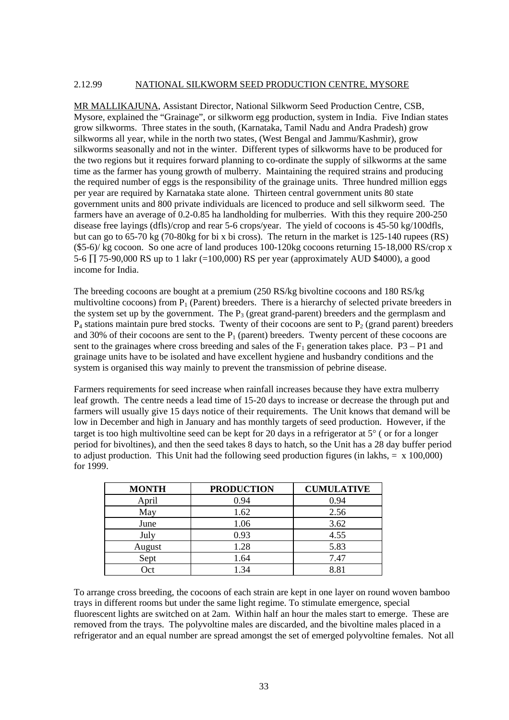#### 2.12.99 NATIONAL SILKWORM SEED PRODUCTION CENTRE, MYSORE

MR MALLIKAJUNA, Assistant Director, National Silkworm Seed Production Centre, CSB, Mysore, explained the "Grainage", or silkworm egg production, system in India. Five Indian states grow silkworms. Three states in the south, (Karnataka, Tamil Nadu and Andra Pradesh) grow silkworms all year, while in the north two states, (West Bengal and Jammu/Kashmir), grow silkworms seasonally and not in the winter. Different types of silkworms have to be produced for the two regions but it requires forward planning to co-ordinate the supply of silkworms at the same time as the farmer has young growth of mulberry. Maintaining the required strains and producing the required number of eggs is the responsibility of the grainage units. Three hundred million eggs per year are required by Karnataka state alone. Thirteen central government units 80 state government units and 800 private individuals are licenced to produce and sell silkworm seed. The farmers have an average of 0.2-0.85 ha landholding for mulberries. With this they require 200-250 disease free layings (dfls)/crop and rear 5-6 crops/year. The yield of cocoons is 45-50 kg/100dfls, but can go to 65-70 kg (70-80kg for bi x bi cross). The return in the market is 125-140 rupees (RS) (\$5-6)/ kg cocoon. So one acre of land produces 100-120kg cocoons returning 15-18,000 RS/crop x 5-6 ∏ 75-90,000 RS up to 1 lakr (=100,000) RS per year (approximately AUD \$4000), a good income for India.

The breeding cocoons are bought at a premium (250 RS/kg bivoltine cocoons and 180 RS/kg multivoltine cocoons) from  $P_1$  (Parent) breeders. There is a hierarchy of selected private breeders in the system set up by the government. The  $P_3$  (great grand-parent) breeders and the germplasm and  $P_4$  stations maintain pure bred stocks. Twenty of their cocoons are sent to  $P_2$  (grand parent) breeders and 30% of their cocoons are sent to the  $P_1$  (parent) breeders. Twenty percent of these cocoons are sent to the grainages where cross breeding and sales of the  $F_1$  generation takes place. P3 – P1 and grainage units have to be isolated and have excellent hygiene and husbandry conditions and the system is organised this way mainly to prevent the transmission of pebrine disease.

Farmers requirements for seed increase when rainfall increases because they have extra mulberry leaf growth. The centre needs a lead time of 15-20 days to increase or decrease the through put and farmers will usually give 15 days notice of their requirements. The Unit knows that demand will be low in December and high in January and has monthly targets of seed production. However, if the target is too high multivoltine seed can be kept for 20 days in a refrigerator at 5° ( or for a longer period for bivoltines), and then the seed takes 8 days to hatch, so the Unit has a 28 day buffer period to adjust production. This Unit had the following seed production figures (in lakhs,  $= x 100,000$ ) for 1999.

| <b>MONTH</b> | <b>PRODUCTION</b> | <b>CUMULATIVE</b> |
|--------------|-------------------|-------------------|
| April        | 0.94              | 0.94              |
| May          | 1.62              | 2.56              |
| June         | 1.06              | 3.62              |
| July         | 0.93              | 4.55              |
| August       | 1.28              | 5.83              |
| Sept         | 1.64              | 7.47              |
| Oct          | 1.34              | 8.81              |

To arrange cross breeding, the cocoons of each strain are kept in one layer on round woven bamboo trays in different rooms but under the same light regime. To stimulate emergence, special fluorescent lights are switched on at 2am. Within half an hour the males start to emerge. These are removed from the trays. The polyvoltine males are discarded, and the bivoltine males placed in a refrigerator and an equal number are spread amongst the set of emerged polyvoltine females. Not all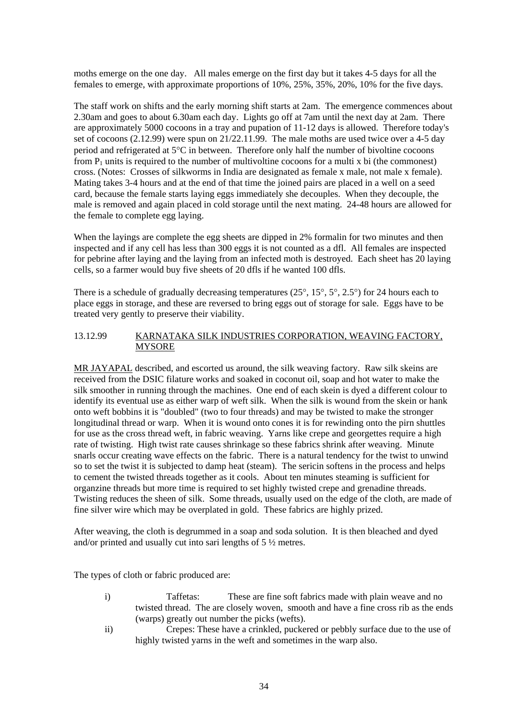moths emerge on the one day. All males emerge on the first day but it takes 4-5 days for all the females to emerge, with approximate proportions of 10%, 25%, 35%, 20%, 10% for the five days.

The staff work on shifts and the early morning shift starts at 2am. The emergence commences about 2.30am and goes to about 6.30am each day. Lights go off at 7am until the next day at 2am. There are approximately 5000 cocoons in a tray and pupation of 11-12 days is allowed. Therefore today's set of cocoons (2.12.99) were spun on 21/22.11.99. The male moths are used twice over a 4-5 day period and refrigerated at 5°C in between. Therefore only half the number of bivoltine cocoons from  $P_1$  units is required to the number of multivoltine cocoons for a multi x bi (the commonest) cross. (Notes: Crosses of silkworms in India are designated as female x male, not male x female). Mating takes 3-4 hours and at the end of that time the joined pairs are placed in a well on a seed card, because the female starts laying eggs immediately she decouples. When they decouple, the male is removed and again placed in cold storage until the next mating. 24-48 hours are allowed for the female to complete egg laying.

When the layings are complete the egg sheets are dipped in 2% formal in for two minutes and then inspected and if any cell has less than 300 eggs it is not counted as a dfl. All females are inspected for pebrine after laying and the laying from an infected moth is destroyed. Each sheet has 20 laying cells, so a farmer would buy five sheets of 20 dfls if he wanted 100 dfls.

There is a schedule of gradually decreasing temperatures (25°, 15°, 5°, 2.5°) for 24 hours each to place eggs in storage, and these are reversed to bring eggs out of storage for sale. Eggs have to be treated very gently to preserve their viability.

#### 13.12.99 KARNATAKA SILK INDUSTRIES CORPORATION, WEAVING FACTORY, MYSORE

MR JAYAPAL described, and escorted us around, the silk weaving factory. Raw silk skeins are received from the DSIC filature works and soaked in coconut oil, soap and hot water to make the silk smoother in running through the machines. One end of each skein is dyed a different colour to identify its eventual use as either warp of weft silk. When the silk is wound from the skein or hank onto weft bobbins it is "doubled" (two to four threads) and may be twisted to make the stronger longitudinal thread or warp. When it is wound onto cones it is for rewinding onto the pirn shuttles for use as the cross thread weft, in fabric weaving. Yarns like crepe and georgettes require a high rate of twisting. High twist rate causes shrinkage so these fabrics shrink after weaving. Minute snarls occur creating wave effects on the fabric. There is a natural tendency for the twist to unwind so to set the twist it is subjected to damp heat (steam). The sericin softens in the process and helps to cement the twisted threads together as it cools. About ten minutes steaming is sufficient for organzine threads but more time is required to set highly twisted crepe and grenadine threads. Twisting reduces the sheen of silk. Some threads, usually used on the edge of the cloth, are made of fine silver wire which may be overplated in gold. These fabrics are highly prized.

After weaving, the cloth is degrummed in a soap and soda solution. It is then bleached and dyed and/or printed and usually cut into sari lengths of 5 ½ metres.

The types of cloth or fabric produced are:

- i) Taffetas: These are fine soft fabrics made with plain weave and no twisted thread. The are closely woven, smooth and have a fine cross rib as the ends (warps) greatly out number the picks (wefts).
- ii) Crepes: These have a crinkled, puckered or pebbly surface due to the use of highly twisted yarns in the weft and sometimes in the warp also.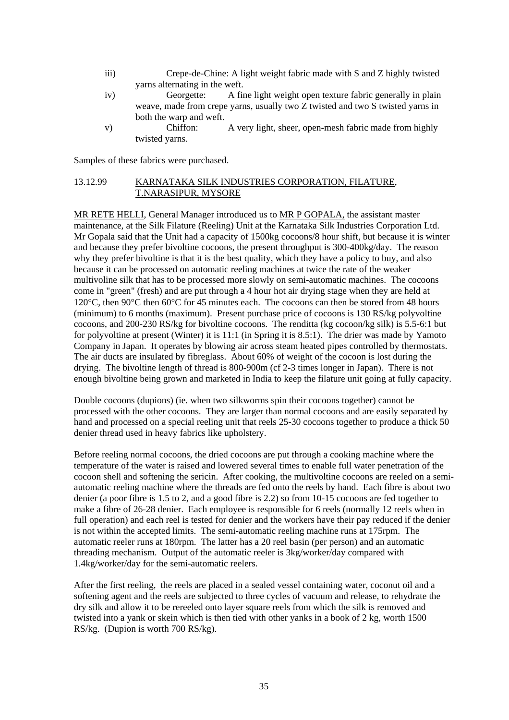- iii) Crepe-de-Chine: A light weight fabric made with S and Z highly twisted yarns alternating in the weft.
- iv) Georgette: A fine light weight open texture fabric generally in plain weave, made from crepe yarns, usually two Z twisted and two S twisted yarns in both the warp and weft.
- v) Chiffon: A very light, sheer, open-mesh fabric made from highly twisted yarns.

Samples of these fabrics were purchased.

#### 13.12.99 KARNATAKA SILK INDUSTRIES CORPORATION, FILATURE, T.NARASIPUR, MYSORE

MR RETE HELLI, General Manager introduced us to MR P GOPALA, the assistant master maintenance, at the Silk Filature (Reeling) Unit at the Karnataka Silk Industries Corporation Ltd. Mr Gopala said that the Unit had a capacity of 1500kg cocoons/8 hour shift, but because it is winter and because they prefer bivoltine cocoons, the present throughput is 300-400kg/day. The reason why they prefer bivoltine is that it is the best quality, which they have a policy to buy, and also because it can be processed on automatic reeling machines at twice the rate of the weaker multivoline silk that has to be processed more slowly on semi-automatic machines. The cocoons come in "green" (fresh) and are put through a 4 hour hot air drying stage when they are held at 120°C, then 90°C then 60°C for 45 minutes each. The cocoons can then be stored from 48 hours (minimum) to 6 months (maximum). Present purchase price of cocoons is 130 RS/kg polyvoltine cocoons, and 200-230 RS/kg for bivoltine cocoons. The renditta (kg cocoon/kg silk) is 5.5-6:1 but for polyvoltine at present (Winter) it is 11:1 (in Spring it is 8.5:1). The drier was made by Yamoto Company in Japan. It operates by blowing air across steam heated pipes controlled by thermostats. The air ducts are insulated by fibreglass. About 60% of weight of the cocoon is lost during the drying. The bivoltine length of thread is 800-900m (cf 2-3 times longer in Japan). There is not enough bivoltine being grown and marketed in India to keep the filature unit going at fully capacity.

Double cocoons (dupions) (ie. when two silkworms spin their cocoons together) cannot be processed with the other cocoons. They are larger than normal cocoons and are easily separated by hand and processed on a special reeling unit that reels 25-30 cocoons together to produce a thick 50 denier thread used in heavy fabrics like upholstery.

Before reeling normal cocoons, the dried cocoons are put through a cooking machine where the temperature of the water is raised and lowered several times to enable full water penetration of the cocoon shell and softening the sericin. After cooking, the multivoltine cocoons are reeled on a semiautomatic reeling machine where the threads are fed onto the reels by hand. Each fibre is about two denier (a poor fibre is 1.5 to 2, and a good fibre is 2.2) so from 10-15 cocoons are fed together to make a fibre of 26-28 denier. Each employee is responsible for 6 reels (normally 12 reels when in full operation) and each reel is tested for denier and the workers have their pay reduced if the denier is not within the accepted limits. The semi-automatic reeling machine runs at 175rpm. The automatic reeler runs at 180rpm. The latter has a 20 reel basin (per person) and an automatic threading mechanism. Output of the automatic reeler is 3kg/worker/day compared with 1.4kg/worker/day for the semi-automatic reelers.

After the first reeling, the reels are placed in a sealed vessel containing water, coconut oil and a softening agent and the reels are subjected to three cycles of vacuum and release, to rehydrate the dry silk and allow it to be rereeled onto layer square reels from which the silk is removed and twisted into a yank or skein which is then tied with other yanks in a book of 2 kg, worth 1500 RS/kg. (Dupion is worth 700 RS/kg).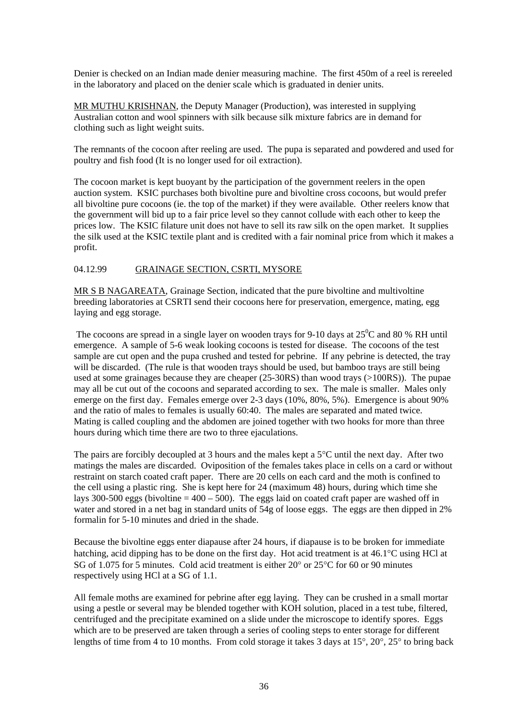Denier is checked on an Indian made denier measuring machine. The first 450m of a reel is rereeled in the laboratory and placed on the denier scale which is graduated in denier units.

MR MUTHU KRISHNAN, the Deputy Manager (Production), was interested in supplying Australian cotton and wool spinners with silk because silk mixture fabrics are in demand for clothing such as light weight suits.

The remnants of the cocoon after reeling are used. The pupa is separated and powdered and used for poultry and fish food (It is no longer used for oil extraction).

The cocoon market is kept buoyant by the participation of the government reelers in the open auction system. KSIC purchases both bivoltine pure and bivoltine cross cocoons, but would prefer all bivoltine pure cocoons (ie. the top of the market) if they were available. Other reelers know that the government will bid up to a fair price level so they cannot collude with each other to keep the prices low. The KSIC filature unit does not have to sell its raw silk on the open market. It supplies the silk used at the KSIC textile plant and is credited with a fair nominal price from which it makes a profit.

#### 04.12.99 GRAINAGE SECTION, CSRTI, MYSORE

MR S B NAGAREATA, Grainage Section, indicated that the pure bivoltine and multivoltine breeding laboratories at CSRTI send their cocoons here for preservation, emergence, mating, egg laying and egg storage.

The cocoons are spread in a single layer on wooden trays for 9-10 days at  $25^{\circ}$ C and 80 % RH until emergence. A sample of 5-6 weak looking cocoons is tested for disease. The cocoons of the test sample are cut open and the pupa crushed and tested for pebrine. If any pebrine is detected, the tray will be discarded. (The rule is that wooden trays should be used, but bamboo trays are still being used at some grainages because they are cheaper (25-30RS) than wood trays (>100RS)). The pupae may all be cut out of the cocoons and separated according to sex. The male is smaller. Males only emerge on the first day. Females emerge over 2-3 days (10%, 80%, 5%). Emergence is about 90% and the ratio of males to females is usually 60:40. The males are separated and mated twice. Mating is called coupling and the abdomen are joined together with two hooks for more than three hours during which time there are two to three ejaculations.

The pairs are forcibly decoupled at 3 hours and the males kept a 5°C until the next day. After two matings the males are discarded. Oviposition of the females takes place in cells on a card or without restraint on starch coated craft paper. There are 20 cells on each card and the moth is confined to the cell using a plastic ring. She is kept here for 24 (maximum 48) hours, during which time she lays 300-500 eggs (bivoltine  $= 400 - 500$ ). The eggs laid on coated craft paper are washed off in water and stored in a net bag in standard units of 54g of loose eggs. The eggs are then dipped in 2% formalin for 5-10 minutes and dried in the shade.

Because the bivoltine eggs enter diapause after 24 hours, if diapause is to be broken for immediate hatching, acid dipping has to be done on the first day. Hot acid treatment is at 46.1°C using HCl at SG of 1.075 for 5 minutes. Cold acid treatment is either 20° or 25°C for 60 or 90 minutes respectively using HCl at a SG of 1.1.

All female moths are examined for pebrine after egg laying. They can be crushed in a small mortar using a pestle or several may be blended together with KOH solution, placed in a test tube, filtered, centrifuged and the precipitate examined on a slide under the microscope to identify spores. Eggs which are to be preserved are taken through a series of cooling steps to enter storage for different lengths of time from 4 to 10 months. From cold storage it takes 3 days at 15°, 20°, 25° to bring back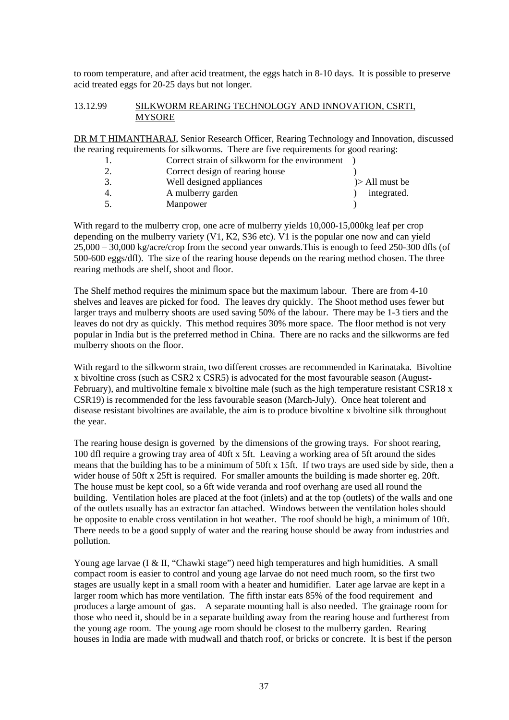to room temperature, and after acid treatment, the eggs hatch in 8-10 days. It is possible to preserve acid treated eggs for 20-25 days but not longer.

#### 13.12.99 SILKWORM REARING TECHNOLOGY AND INNOVATION, CSRTI, **MYSORE**

DR M T HIMANTHARAJ, Senior Research Officer, Rearing Technology and Innovation, discussed the rearing requirements for silkworms. There are five requirements for good rearing:

|    | Correct strain of silkworm for the environment |                   |
|----|------------------------------------------------|-------------------|
|    | Correct design of rearing house                |                   |
| 3. | Well designed appliances                       | $\ge$ All must be |
| 4. | A mulberry garden                              | integrated.       |
| 5. | Manpower                                       |                   |

With regard to the mulberry crop, one acre of mulberry yields 10,000-15,000kg leaf per crop depending on the mulberry variety (V1, K2, S36 etc). V1 is the popular one now and can yield 25,000 – 30,000 kg/acre/crop from the second year onwards.This is enough to feed 250-300 dfls (of 500-600 eggs/dfl). The size of the rearing house depends on the rearing method chosen. The three rearing methods are shelf, shoot and floor.

The Shelf method requires the minimum space but the maximum labour. There are from 4-10 shelves and leaves are picked for food. The leaves dry quickly. The Shoot method uses fewer but larger trays and mulberry shoots are used saving 50% of the labour. There may be 1-3 tiers and the leaves do not dry as quickly. This method requires 30% more space. The floor method is not very popular in India but is the preferred method in China. There are no racks and the silkworms are fed mulberry shoots on the floor.

With regard to the silkworm strain, two different crosses are recommended in Karinataka. Bivoltine x bivoltine cross (such as CSR2 x CSR5) is advocated for the most favourable season (August-February), and multivoltine female x bivoltine male (such as the high temperature resistant CSR18  $x$ ) CSR19) is recommended for the less favourable season (March-July). Once heat tolerent and disease resistant bivoltines are available, the aim is to produce bivoltine x bivoltine silk throughout the year.

The rearing house design is governed by the dimensions of the growing trays. For shoot rearing, 100 dfl require a growing tray area of 40ft x 5ft. Leaving a working area of 5ft around the sides means that the building has to be a minimum of 50ft x 15ft. If two trays are used side by side, then a wider house of 50ft x 25ft is required. For smaller amounts the building is made shorter eg. 20ft. The house must be kept cool, so a 6ft wide veranda and roof overhang are used all round the building. Ventilation holes are placed at the foot (inlets) and at the top (outlets) of the walls and one of the outlets usually has an extractor fan attached. Windows between the ventilation holes should be opposite to enable cross ventilation in hot weather. The roof should be high, a minimum of 10ft. There needs to be a good supply of water and the rearing house should be away from industries and pollution.

Young age larvae (I & II, "Chawki stage") need high temperatures and high humidities. A small compact room is easier to control and young age larvae do not need much room, so the first two stages are usually kept in a small room with a heater and humidifier. Later age larvae are kept in a larger room which has more ventilation. The fifth instar eats 85% of the food requirement and produces a large amount of gas. A separate mounting hall is also needed. The grainage room for those who need it, should be in a separate building away from the rearing house and furtherest from the young age room. The young age room should be closest to the mulberry garden. Rearing houses in India are made with mudwall and thatch roof, or bricks or concrete. It is best if the person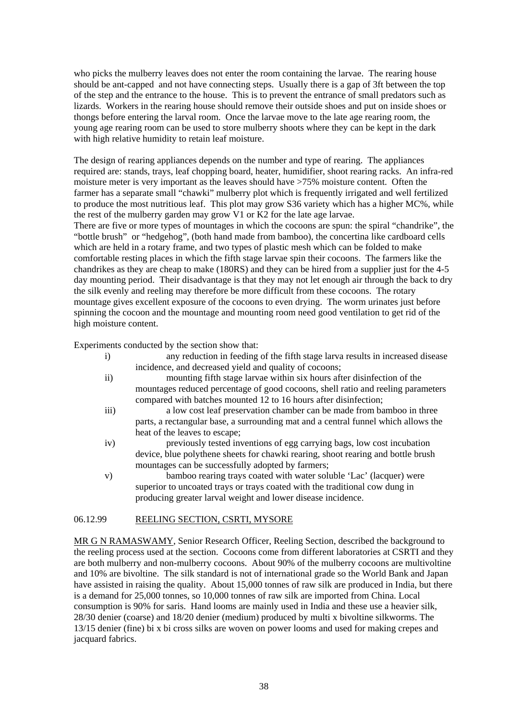who picks the mulberry leaves does not enter the room containing the larvae. The rearing house should be ant-capped and not have connecting steps. Usually there is a gap of 3ft between the top of the step and the entrance to the house. This is to prevent the entrance of small predators such as lizards. Workers in the rearing house should remove their outside shoes and put on inside shoes or thongs before entering the larval room. Once the larvae move to the late age rearing room, the young age rearing room can be used to store mulberry shoots where they can be kept in the dark with high relative humidity to retain leaf moisture.

The design of rearing appliances depends on the number and type of rearing. The appliances required are: stands, trays, leaf chopping board, heater, humidifier, shoot rearing racks. An infra-red moisture meter is very important as the leaves should have >75% moisture content. Often the farmer has a separate small "chawki" mulberry plot which is frequently irrigated and well fertilized to produce the most nutritious leaf. This plot may grow S36 variety which has a higher MC%, while the rest of the mulberry garden may grow V1 or K2 for the late age larvae.

There are five or more types of mountages in which the cocoons are spun: the spiral "chandrike", the "bottle brush" or "hedgehog", (both hand made from bamboo), the concertina like cardboard cells which are held in a rotary frame, and two types of plastic mesh which can be folded to make comfortable resting places in which the fifth stage larvae spin their cocoons. The farmers like the chandrikes as they are cheap to make (180RS) and they can be hired from a supplier just for the 4-5 day mounting period. Their disadvantage is that they may not let enough air through the back to dry the silk evenly and reeling may therefore be more difficult from these cocoons. The rotary mountage gives excellent exposure of the cocoons to even drying. The worm urinates just before spinning the cocoon and the mountage and mounting room need good ventilation to get rid of the high moisture content.

Experiments conducted by the section show that:

- i) any reduction in feeding of the fifth stage larva results in increased disease incidence, and decreased yield and quality of cocoons; ii) mounting fifth stage larvae within six hours after disinfection of the
	- mountages reduced percentage of good cocoons, shell ratio and reeling parameters compared with batches mounted 12 to 16 hours after disinfection;
- iii) a low cost leaf preservation chamber can be made from bamboo in three parts, a rectangular base, a surrounding mat and a central funnel which allows the heat of the leaves to escape;
- iv) previously tested inventions of egg carrying bags, low cost incubation device, blue polythene sheets for chawki rearing, shoot rearing and bottle brush mountages can be successfully adopted by farmers;
- v) bamboo rearing trays coated with water soluble 'Lac' (lacquer) were superior to uncoated trays or trays coated with the traditional cow dung in producing greater larval weight and lower disease incidence.

#### 06.12.99 REELING SECTION, CSRTI, MYSORE

MR G N RAMASWAMY, Senior Research Officer, Reeling Section, described the background to the reeling process used at the section. Cocoons come from different laboratories at CSRTI and they are both mulberry and non-mulberry cocoons. About 90% of the mulberry cocoons are multivoltine and 10% are bivoltine. The silk standard is not of international grade so the World Bank and Japan have assisted in raising the quality. About 15,000 tonnes of raw silk are produced in India, but there is a demand for 25,000 tonnes, so 10,000 tonnes of raw silk are imported from China. Local consumption is 90% for saris. Hand looms are mainly used in India and these use a heavier silk, 28/30 denier (coarse) and 18/20 denier (medium) produced by multi x bivoltine silkworms. The 13/15 denier (fine) bi x bi cross silks are woven on power looms and used for making crepes and jacquard fabrics.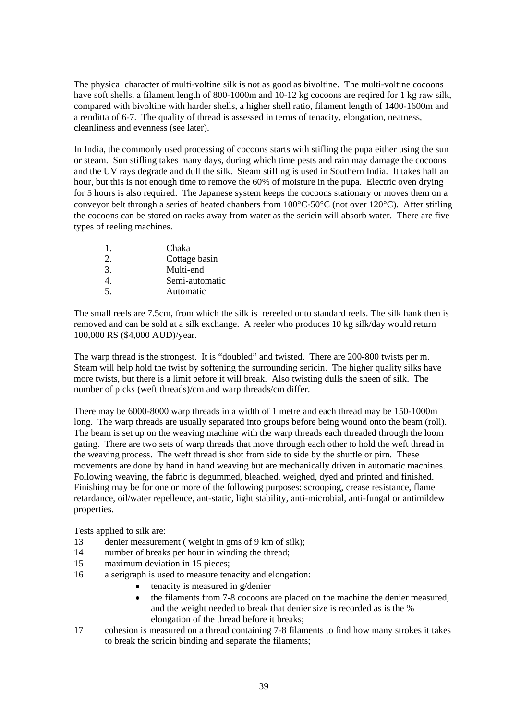The physical character of multi-voltine silk is not as good as bivoltine. The multi-voltine cocoons have soft shells, a filament length of 800-1000m and 10-12 kg cocoons are reqired for 1 kg raw silk, compared with bivoltine with harder shells, a higher shell ratio, filament length of 1400-1600m and a renditta of 6-7. The quality of thread is assessed in terms of tenacity, elongation, neatness, cleanliness and evenness (see later).

In India, the commonly used processing of cocoons starts with stifling the pupa either using the sun or steam. Sun stifling takes many days, during which time pests and rain may damage the cocoons and the UV rays degrade and dull the silk. Steam stifling is used in Southern India. It takes half an hour, but this is not enough time to remove the 60% of moisture in the pupa. Electric oven drying for 5 hours is also required. The Japanese system keeps the cocoons stationary or moves them on a conveyor belt through a series of heated chanbers from 100°C-50°C (not over 120°C). After stifling the cocoons can be stored on racks away from water as the sericin will absorb water. There are five types of reeling machines.

| $\mathbf{1}$ . | Chaka          |
|----------------|----------------|
| 2.             | Cottage basin  |
| 3.             | Multi-end      |
| 4.             | Semi-automatic |
| 5 <sub>1</sub> | Automatic      |

The small reels are 7.5cm, from which the silk is rereeled onto standard reels. The silk hank then is removed and can be sold at a silk exchange. A reeler who produces 10 kg silk/day would return 100,000 RS (\$4,000 AUD)/year.

The warp thread is the strongest. It is "doubled" and twisted. There are 200-800 twists per m. Steam will help hold the twist by softening the surrounding sericin. The higher quality silks have more twists, but there is a limit before it will break. Also twisting dulls the sheen of silk. The number of picks (weft threads)/cm and warp threads/cm differ.

There may be 6000-8000 warp threads in a width of 1 metre and each thread may be 150-1000m long. The warp threads are usually separated into groups before being wound onto the beam (roll). The beam is set up on the weaving machine with the warp threads each threaded through the loom gating. There are two sets of warp threads that move through each other to hold the weft thread in the weaving process. The weft thread is shot from side to side by the shuttle or pirn. These movements are done by hand in hand weaving but are mechanically driven in automatic machines. Following weaving, the fabric is degummed, bleached, weighed, dyed and printed and finished. Finishing may be for one or more of the following purposes: scrooping, crease resistance, flame retardance, oil/water repellence, ant-static, light stability, anti-microbial, anti-fungal or antimildew properties.

Tests applied to silk are:

- 13 denier measurement ( weight in gms of 9 km of silk);
- 14 number of breaks per hour in winding the thread;
- 15 maximum deviation in 15 pieces;
- 16 a serigraph is used to measure tenacity and elongation:
	- tenacity is measured in g/denier
	- the filaments from 7-8 cocoons are placed on the machine the denier measured, and the weight needed to break that denier size is recorded as is the % elongation of the thread before it breaks;
- 17 cohesion is measured on a thread containing 7-8 filaments to find how many strokes it takes to break the scricin binding and separate the filaments;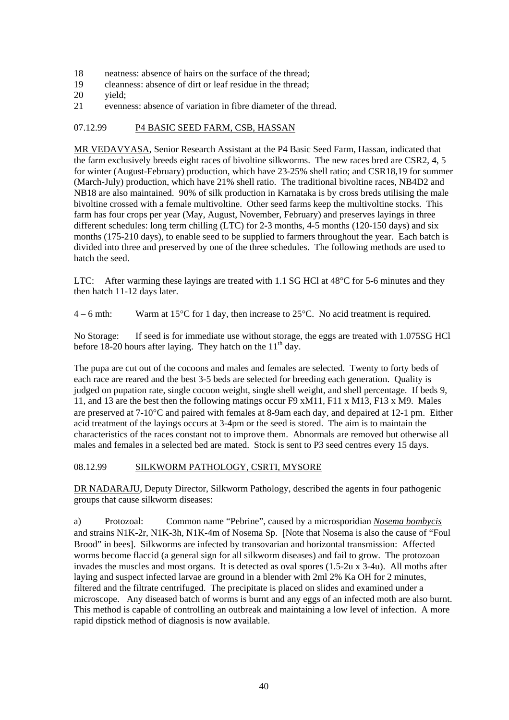- 18 neatness: absence of hairs on the surface of the thread;
- 19 cleanness: absence of dirt or leaf residue in the thread;
- 20 vield:
- 21 evenness: absence of variation in fibre diameter of the thread.

#### 07.12.99 P4 BASIC SEED FARM, CSB, HASSAN

MR VEDAVYASA, Senior Research Assistant at the P4 Basic Seed Farm, Hassan, indicated that the farm exclusively breeds eight races of bivoltine silkworms. The new races bred are CSR2, 4, 5 for winter (August-February) production, which have 23-25% shell ratio; and CSR18,19 for summer (March-July) production, which have 21% shell ratio. The traditional bivoltine races, NB4D2 and NB18 are also maintained. 90% of silk production in Karnataka is by cross breds utilising the male bivoltine crossed with a female multivoltine. Other seed farms keep the multivoltine stocks. This farm has four crops per year (May, August, November, February) and preserves layings in three different schedules: long term chilling (LTC) for 2-3 months, 4-5 months (120-150 days) and six months (175-210 days), to enable seed to be supplied to farmers throughout the year. Each batch is divided into three and preserved by one of the three schedules. The following methods are used to hatch the seed.

LTC: After warming these layings are treated with 1.1 SG HCl at 48<sup>o</sup>C for 5-6 minutes and they then hatch 11-12 days later.

4 – 6 mth: Warm at 15<sup>o</sup>C for 1 day, then increase to 25<sup>o</sup>C. No acid treatment is required.

No Storage: If seed is for immediate use without storage, the eggs are treated with 1.075SG HCl before 18-20 hours after laying. They hatch on the  $11<sup>th</sup>$  day.

The pupa are cut out of the cocoons and males and females are selected. Twenty to forty beds of each race are reared and the best 3-5 beds are selected for breeding each generation. Quality is judged on pupation rate, single cocoon weight, single shell weight, and shell percentage. If beds 9, 11, and 13 are the best then the following matings occur F9 xM11, F11 x M13, F13 x M9. Males are preserved at 7-10°C and paired with females at 8-9am each day, and depaired at 12-1 pm. Either acid treatment of the layings occurs at 3-4pm or the seed is stored. The aim is to maintain the characteristics of the races constant not to improve them. Abnormals are removed but otherwise all males and females in a selected bed are mated. Stock is sent to P3 seed centres every 15 days.

#### 08.12.99 SILKWORM PATHOLOGY, CSRTI, MYSORE

DR NADARAJU, Deputy Director, Silkworm Pathology, described the agents in four pathogenic groups that cause silkworm diseases:

a) Protozoal: Common name "Pebrine", caused by a microsporidian *Nosema bombycis* and strains N1K-2r, N1K-3h, N1K-4m of Nosema Sp. [Note that Nosema is also the cause of "Foul Brood" in bees]. Silkworms are infected by transovarian and horizontal transmission: Affected worms become flaccid (a general sign for all silkworm diseases) and fail to grow. The protozoan invades the muscles and most organs. It is detected as oval spores (1.5-2u x 3-4u). All moths after laying and suspect infected larvae are ground in a blender with 2ml 2% Ka OH for 2 minutes, filtered and the filtrate centrifuged. The precipitate is placed on slides and examined under a microscope. Any diseased batch of worms is burnt and any eggs of an infected moth are also burnt. This method is capable of controlling an outbreak and maintaining a low level of infection. A more rapid dipstick method of diagnosis is now available.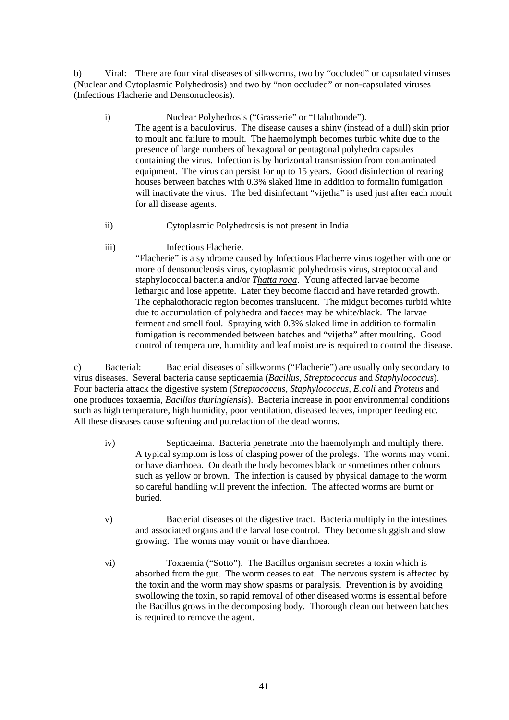b) Viral: There are four viral diseases of silkworms, two by "occluded" or capsulated viruses (Nuclear and Cytoplasmic Polyhedrosis) and two by "non occluded" or non-capsulated viruses (Infectious Flacherie and Densonucleosis).

- i) Nuclear Polyhedrosis ("Grasserie" or "Haluthonde"). The agent is a baculovirus. The disease causes a shiny (instead of a dull) skin prior to moult and failure to moult. The haemolymph becomes turbid white due to the presence of large numbers of hexagonal or pentagonal polyhedra capsules containing the virus. Infection is by horizontal transmission from contaminated equipment. The virus can persist for up to 15 years. Good disinfection of rearing houses between batches with 0.3% slaked lime in addition to formalin fumigation will inactivate the virus. The bed disinfectant "vijetha" is used just after each moult for all disease agents.
- ii) Cytoplasmic Polyhedrosis is not present in India
- iii) Infectious Flacherie.

"Flacherie" is a syndrome caused by Infectious Flacherre virus together with one or more of densonucleosis virus, cytoplasmic polyhedrosis virus, streptococcal and staphylococcal bacteria and/or *Thatta roga*. Young affected larvae become lethargic and lose appetite. Later they become flaccid and have retarded growth. The cephalothoracic region becomes translucent. The midgut becomes turbid white due to accumulation of polyhedra and faeces may be white/black. The larvae ferment and smell foul. Spraying with 0.3% slaked lime in addition to formalin fumigation is recommended between batches and "vijetha" after moulting. Good control of temperature, humidity and leaf moisture is required to control the disease.

c) Bacterial: Bacterial diseases of silkworms ("Flacherie") are usually only secondary to virus diseases. Several bacteria cause septicaemia (*Bacillus, Streptococcus* and *Staphylococcus*). Four bacteria attack the digestive system (*Streptococcus, Staphylococcus, E.coli* and *Proteus* and one produces toxaemia, *Bacillus thuringiensis*). Bacteria increase in poor environmental conditions such as high temperature, high humidity, poor ventilation, diseased leaves, improper feeding etc. All these diseases cause softening and putrefaction of the dead worms.

- iv) Septicaeima. Bacteria penetrate into the haemolymph and multiply there. A typical symptom is loss of clasping power of the prolegs. The worms may vomit or have diarrhoea. On death the body becomes black or sometimes other colours such as yellow or brown. The infection is caused by physical damage to the worm so careful handling will prevent the infection. The affected worms are burnt or buried.
- v) Bacterial diseases of the digestive tract. Bacteria multiply in the intestines and associated organs and the larval lose control. They become sluggish and slow growing. The worms may vomit or have diarrhoea.
- vi) Toxaemia ("Sotto"). The Bacillus organism secretes a toxin which is absorbed from the gut. The worm ceases to eat. The nervous system is affected by the toxin and the worm may show spasms or paralysis. Prevention is by avoiding swollowing the toxin, so rapid removal of other diseased worms is essential before the Bacillus grows in the decomposing body. Thorough clean out between batches is required to remove the agent.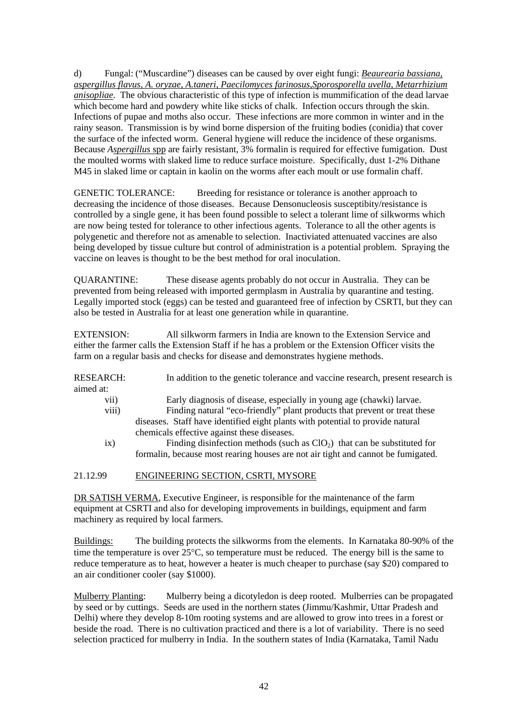d) Fungal: ("Muscardine") diseases can be caused by over eight fungi: *Beaurearia bassiana, aspergillus flavus, A. oryzae, A.taneri, Paecilomyces farinosus,Sporosporella uvella, Metarrhizium anisopliae*. The obvious characteristic of this type of infection is mummification of the dead larvae which become hard and powdery white like sticks of chalk. Infection occurs through the skin. Infections of pupae and moths also occur. These infections are more common in winter and in the rainy season. Transmission is by wind borne dispersion of the fruiting bodies (conidia) that cover the surface of the infected worm. General hygiene will reduce the incidence of these organisms. Because *Aspergillus* spp are fairly resistant, 3% formalin is required for effective fumigation. Dust the moulted worms with slaked lime to reduce surface moisture. Specifically, dust 1-2% Dithane M45 in slaked lime or captain in kaolin on the worms after each moult or use formalin chaff.

GENETIC TOLERANCE: Breeding for resistance or tolerance is another approach to decreasing the incidence of those diseases. Because Densonucleosis susceptibity/resistance is controlled by a single gene, it has been found possible to select a tolerant lime of silkworms which are now being tested for tolerance to other infectious agents. Tolerance to all the other agents is polygenetic and therefore not as amenable to selection. Inactiviated attenuated vaccines are also being developed by tissue culture but control of administration is a potential problem. Spraying the vaccine on leaves is thought to be the best method for oral inoculation.

QUARANTINE: These disease agents probably do not occur in Australia. They can be prevented from being released with imported germplasm in Australia by quarantine and testing. Legally imported stock (eggs) can be tested and guaranteed free of infection by CSRTI, but they can also be tested in Australia for at least one generation while in quarantine.

EXTENSION: All silkworm farmers in India are known to the Extension Service and either the farmer calls the Extension Staff if he has a problem or the Extension Officer visits the farm on a regular basis and checks for disease and demonstrates hygiene methods.

RESEARCH: In addition to the genetic tolerance and vaccine research, present research is aimed at: vii) Early diagnosis of disease, especially in young age (chawki) larvae. viii) Finding natural "eco-friendly" plant products that prevent or treat these diseases. Staff have identified eight plants with potential to provide natural chemicals effective against these diseases. ix) Finding disinfection methods (such as  $ClO<sub>2</sub>$ ) that can be substituted for formalin, because most rearing houses are not air tight and cannot be fumigated.

21.12.99 ENGINEERING SECTION, CSRTI, MYSORE

DR SATISH VERMA, Executive Engineer, is responsible for the maintenance of the farm equipment at CSRTI and also for developing improvements in buildings, equipment and farm machinery as required by local farmers.

Buildings: The building protects the silkworms from the elements. In Karnataka 80-90% of the time the temperature is over 25°C, so temperature must be reduced. The energy bill is the same to reduce temperature as to heat, however a heater is much cheaper to purchase (say \$20) compared to an air conditioner cooler (say \$1000).

Mulberry Planting: Mulberry being a dicotyledon is deep rooted. Mulberries can be propagated by seed or by cuttings. Seeds are used in the northern states (Jimmu/Kashmir, Uttar Pradesh and Delhi) where they develop 8-10m rooting systems and are allowed to grow into trees in a forest or beside the road. There is no cultivation practiced and there is a lot of variability. There is no seed selection practiced for mulberry in India. In the southern states of India (Karnataka, Tamil Nadu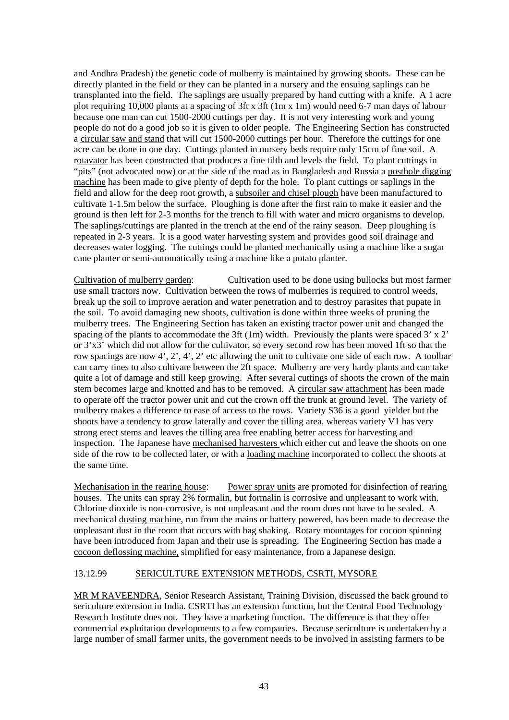and Andhra Pradesh) the genetic code of mulberry is maintained by growing shoots. These can be directly planted in the field or they can be planted in a nursery and the ensuing saplings can be transplanted into the field. The saplings are usually prepared by hand cutting with a knife. A 1 acre plot requiring 10,000 plants at a spacing of 3ft x 3ft (1m x 1m) would need 6-7 man days of labour because one man can cut 1500-2000 cuttings per day. It is not very interesting work and young people do not do a good job so it is given to older people. The Engineering Section has constructed a circular saw and stand that will cut 1500-2000 cuttings per hour. Therefore the cuttings for one acre can be done in one day. Cuttings planted in nursery beds require only 15cm of fine soil. A rotavator has been constructed that produces a fine tilth and levels the field. To plant cuttings in "pits" (not advocated now) or at the side of the road as in Bangladesh and Russia a posthole digging machine has been made to give plenty of depth for the hole. To plant cuttings or saplings in the field and allow for the deep root growth, a subsoiler and chisel plough have been manufactured to cultivate 1-1.5m below the surface. Ploughing is done after the first rain to make it easier and the ground is then left for 2-3 months for the trench to fill with water and micro organisms to develop. The saplings/cuttings are planted in the trench at the end of the rainy season. Deep ploughing is repeated in 2-3 years. It is a good water harvesting system and provides good soil drainage and decreases water logging. The cuttings could be planted mechanically using a machine like a sugar cane planter or semi-automatically using a machine like a potato planter.

Cultivation of mulberry garden: Cultivation used to be done using bullocks but most farmer use small tractors now. Cultivation between the rows of mulberries is required to control weeds, break up the soil to improve aeration and water penetration and to destroy parasites that pupate in the soil. To avoid damaging new shoots, cultivation is done within three weeks of pruning the mulberry trees. The Engineering Section has taken an existing tractor power unit and changed the spacing of the plants to accommodate the 3ft (1m) width. Previously the plants were spaced 3' x 2' or 3'x3' which did not allow for the cultivator, so every second row has been moved 1ft so that the row spacings are now 4', 2', 4', 2' etc allowing the unit to cultivate one side of each row. A toolbar can carry tines to also cultivate between the 2ft space. Mulberry are very hardy plants and can take quite a lot of damage and still keep growing. After several cuttings of shoots the crown of the main stem becomes large and knotted and has to be removed. A circular saw attachment has been made to operate off the tractor power unit and cut the crown off the trunk at ground level. The variety of mulberry makes a difference to ease of access to the rows. Variety S36 is a good yielder but the shoots have a tendency to grow laterally and cover the tilling area, whereas variety V1 has very strong erect stems and leaves the tilling area free enabling better access for harvesting and inspection. The Japanese have mechanised harvesters which either cut and leave the shoots on one side of the row to be collected later, or with a loading machine incorporated to collect the shoots at the same time.

Mechanisation in the rearing house: Power spray units are promoted for disinfection of rearing houses. The units can spray 2% formalin, but formalin is corrosive and unpleasant to work with. Chlorine dioxide is non-corrosive, is not unpleasant and the room does not have to be sealed. A mechanical dusting machine, run from the mains or battery powered, has been made to decrease the unpleasant dust in the room that occurs with bag shaking. Rotary mountages for cocoon spinning have been introduced from Japan and their use is spreading. The Engineering Section has made a cocoon deflossing machine, simplified for easy maintenance, from a Japanese design.

#### 13.12.99 SERICULTURE EXTENSION METHODS, CSRTI, MYSORE

MR M RAVEENDRA, Senior Research Assistant, Training Division, discussed the back ground to sericulture extension in India. CSRTI has an extension function, but the Central Food Technology Research Institute does not. They have a marketing function. The difference is that they offer commercial exploitation developments to a few companies. Because sericulture is undertaken by a large number of small farmer units, the government needs to be involved in assisting farmers to be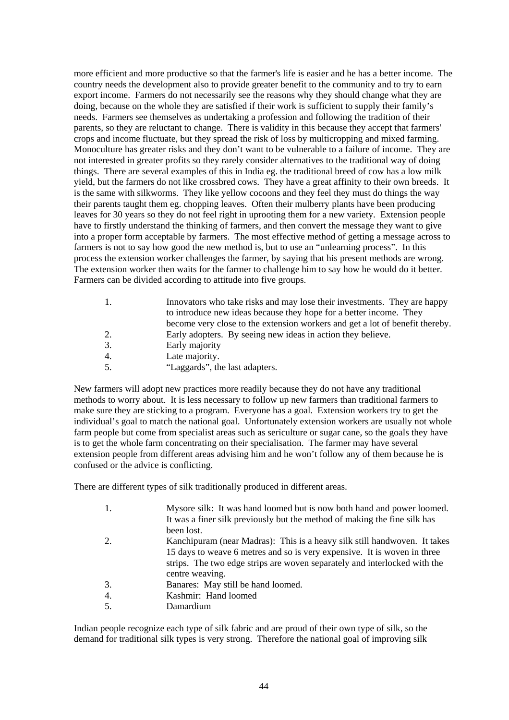more efficient and more productive so that the farmer's life is easier and he has a better income. The country needs the development also to provide greater benefit to the community and to try to earn export income. Farmers do not necessarily see the reasons why they should change what they are doing, because on the whole they are satisfied if their work is sufficient to supply their family's needs. Farmers see themselves as undertaking a profession and following the tradition of their parents, so they are reluctant to change. There is validity in this because they accept that farmers' crops and income fluctuate, but they spread the risk of loss by multicropping and mixed farming. Monoculture has greater risks and they don't want to be vulnerable to a failure of income. They are not interested in greater profits so they rarely consider alternatives to the traditional way of doing things. There are several examples of this in India eg. the traditional breed of cow has a low milk yield, but the farmers do not like crossbred cows. They have a great affinity to their own breeds. It is the same with silkworms. They like yellow cocoons and they feel they must do things the way their parents taught them eg. chopping leaves. Often their mulberry plants have been producing leaves for 30 years so they do not feel right in uprooting them for a new variety. Extension people have to firstly understand the thinking of farmers, and then convert the message they want to give into a proper form acceptable by farmers. The most effective method of getting a message across to farmers is not to say how good the new method is, but to use an "unlearning process". In this process the extension worker challenges the farmer, by saying that his present methods are wrong. The extension worker then waits for the farmer to challenge him to say how he would do it better. Farmers can be divided according to attitude into five groups.

| 1. | Innovators who take risks and may lose their investments. They are happy     |
|----|------------------------------------------------------------------------------|
|    | to introduce new ideas because they hope for a better income. They           |
|    | become very close to the extension workers and get a lot of benefit thereby. |
| 2. | Early adopters. By seeing new ideas in action they believe.                  |
| 3. | Early majority                                                               |
| 4. | Late majority.                                                               |
| 5. | "Laggards", the last adapters.                                               |

New farmers will adopt new practices more readily because they do not have any traditional methods to worry about. It is less necessary to follow up new farmers than traditional farmers to make sure they are sticking to a program. Everyone has a goal. Extension workers try to get the individual's goal to match the national goal. Unfortunately extension workers are usually not whole farm people but come from specialist areas such as sericulture or sugar cane, so the goals they have is to get the whole farm concentrating on their specialisation. The farmer may have several extension people from different areas advising him and he won't follow any of them because he is confused or the advice is conflicting.

There are different types of silk traditionally produced in different areas.

| 1. | Mysore silk: It was hand loomed but is now both hand and power loomed.    |
|----|---------------------------------------------------------------------------|
|    | It was a finer silk previously but the method of making the fine silk has |
|    | been lost.                                                                |
| 2. | Kanchipuram (near Madras): This is a heavy silk still handwoven. It takes |
|    | 15 days to weave 6 metres and so is very expensive. It is woven in three  |
|    | strips. The two edge strips are woven separately and interlocked with the |
|    | centre weaving.                                                           |
| 3. | Banares: May still be hand loomed.                                        |
| 4. | Kashmir: Hand loomed                                                      |
| 5. | Damardium                                                                 |

Indian people recognize each type of silk fabric and are proud of their own type of silk, so the demand for traditional silk types is very strong. Therefore the national goal of improving silk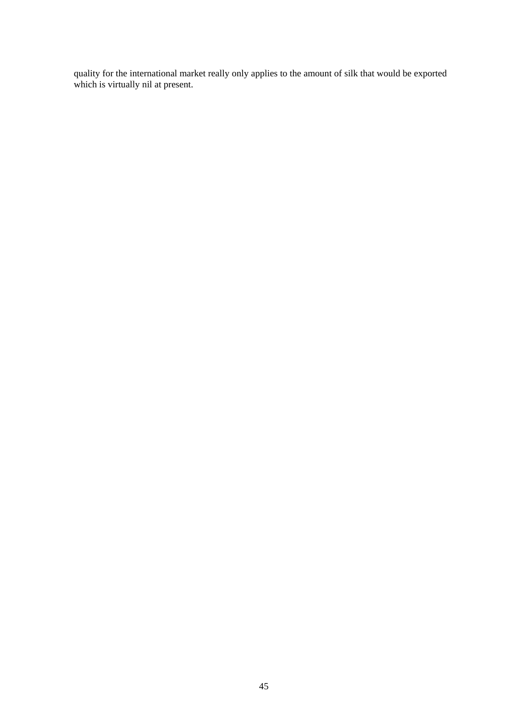quality for the international market really only applies to the amount of silk that would be exported which is virtually nil at present.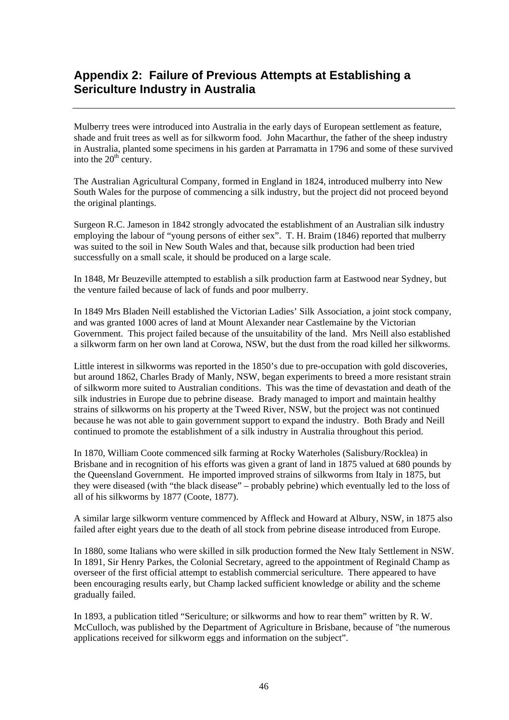## **Appendix 2: Failure of Previous Attempts at Establishing a Sericulture Industry in Australia**

Mulberry trees were introduced into Australia in the early days of European settlement as feature, shade and fruit trees as well as for silkworm food. John Macarthur, the father of the sheep industry in Australia, planted some specimens in his garden at Parramatta in 1796 and some of these survived into the  $20<sup>th</sup>$  century.

The Australian Agricultural Company, formed in England in 1824, introduced mulberry into New South Wales for the purpose of commencing a silk industry, but the project did not proceed beyond the original plantings.

Surgeon R.C. Jameson in 1842 strongly advocated the establishment of an Australian silk industry employing the labour of "young persons of either sex". T. H. Braim (1846) reported that mulberry was suited to the soil in New South Wales and that, because silk production had been tried successfully on a small scale, it should be produced on a large scale.

In 1848, Mr Beuzeville attempted to establish a silk production farm at Eastwood near Sydney, but the venture failed because of lack of funds and poor mulberry.

In 1849 Mrs Bladen Neill established the Victorian Ladies' Silk Association, a joint stock company, and was granted 1000 acres of land at Mount Alexander near Castlemaine by the Victorian Government. This project failed because of the unsuitability of the land. Mrs Neill also established a silkworm farm on her own land at Corowa, NSW, but the dust from the road killed her silkworms.

Little interest in silkworms was reported in the 1850's due to pre-occupation with gold discoveries, but around 1862, Charles Brady of Manly, NSW, began experiments to breed a more resistant strain of silkworm more suited to Australian conditions. This was the time of devastation and death of the silk industries in Europe due to pebrine disease. Brady managed to import and maintain healthy strains of silkworms on his property at the Tweed River, NSW, but the project was not continued because he was not able to gain government support to expand the industry. Both Brady and Neill continued to promote the establishment of a silk industry in Australia throughout this period.

In 1870, William Coote commenced silk farming at Rocky Waterholes (Salisbury/Rocklea) in Brisbane and in recognition of his efforts was given a grant of land in 1875 valued at 680 pounds by the Queensland Government. He imported improved strains of silkworms from Italy in 1875, but they were diseased (with "the black disease" – probably pebrine) which eventually led to the loss of all of his silkworms by 1877 (Coote, 1877).

A similar large silkworm venture commenced by Affleck and Howard at Albury, NSW, in 1875 also failed after eight years due to the death of all stock from pebrine disease introduced from Europe.

In 1880, some Italians who were skilled in silk production formed the New Italy Settlement in NSW. In 1891, Sir Henry Parkes, the Colonial Secretary, agreed to the appointment of Reginald Champ as overseer of the first official attempt to establish commercial sericulture. There appeared to have been encouraging results early, but Champ lacked sufficient knowledge or ability and the scheme gradually failed.

In 1893, a publication titled "Sericulture; or silkworms and how to rear them" written by R. W. McCulloch, was published by the Department of Agriculture in Brisbane, because of "the numerous applications received for silkworm eggs and information on the subject".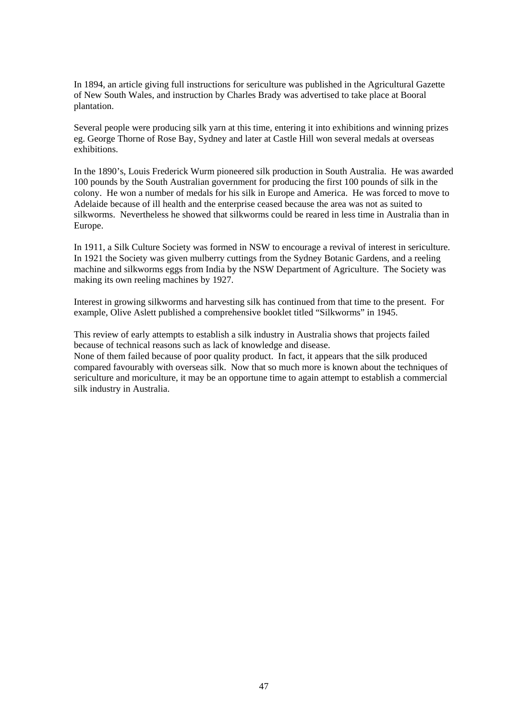In 1894, an article giving full instructions for sericulture was published in the Agricultural Gazette of New South Wales, and instruction by Charles Brady was advertised to take place at Booral plantation.

Several people were producing silk yarn at this time, entering it into exhibitions and winning prizes eg. George Thorne of Rose Bay, Sydney and later at Castle Hill won several medals at overseas exhibitions.

In the 1890's, Louis Frederick Wurm pioneered silk production in South Australia. He was awarded 100 pounds by the South Australian government for producing the first 100 pounds of silk in the colony. He won a number of medals for his silk in Europe and America. He was forced to move to Adelaide because of ill health and the enterprise ceased because the area was not as suited to silkworms. Nevertheless he showed that silkworms could be reared in less time in Australia than in Europe.

In 1911, a Silk Culture Society was formed in NSW to encourage a revival of interest in sericulture. In 1921 the Society was given mulberry cuttings from the Sydney Botanic Gardens, and a reeling machine and silkworms eggs from India by the NSW Department of Agriculture. The Society was making its own reeling machines by 1927.

Interest in growing silkworms and harvesting silk has continued from that time to the present. For example, Olive Aslett published a comprehensive booklet titled "Silkworms" in 1945.

This review of early attempts to establish a silk industry in Australia shows that projects failed because of technical reasons such as lack of knowledge and disease. None of them failed because of poor quality product. In fact, it appears that the silk produced

compared favourably with overseas silk. Now that so much more is known about the techniques of sericulture and moriculture, it may be an opportune time to again attempt to establish a commercial silk industry in Australia.